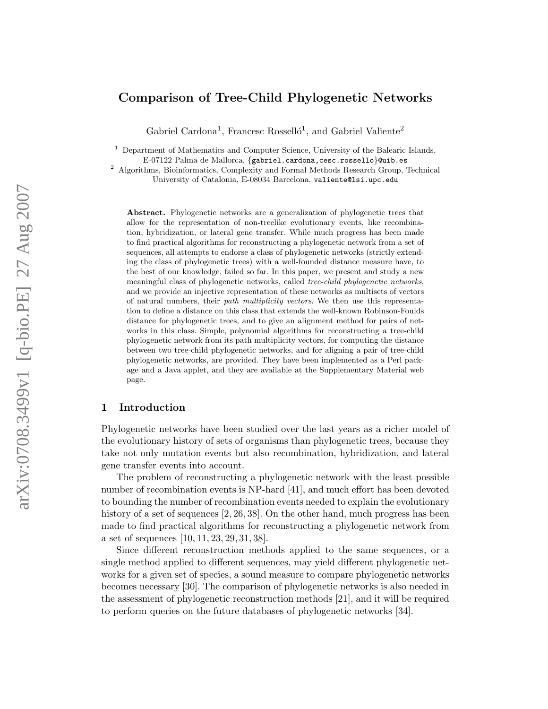# Comparison of Tree-Child Phylogenetic Networks

Gabriel Cardona<sup>1</sup>, Francesc Rosselló<sup>1</sup>, and Gabriel Valiente<sup>2</sup>

 $<sup>1</sup>$  Department of Mathematics and Computer Science, University of the Balearic Islands,</sup> E-07122 Palma de Mallorca, {gabriel.cardona,cesc.rossello}@uib.es

<sup>2</sup> Algorithms, Bioinformatics, Complexity and Formal Methods Research Group, Technical University of Catalonia, E-08034 Barcelona, valiente@lsi.upc.edu

Abstract. Phylogenetic networks are a generalization of phylogenetic trees that allow for the representation of non-treelike evolutionary events, like recombination, hybridization, or lateral gene transfer. While much progress has been made to find practical algorithms for reconstructing a phylogenetic network from a set of sequences, all attempts to endorse a class of phylogenetic networks (strictly extending the class of phylogenetic trees) with a well-founded distance measure have, to the best of our knowledge, failed so far. In this paper, we present and study a new meaningful class of phylogenetic networks, called tree-child phylogenetic networks, and we provide an injective representation of these networks as multisets of vectors of natural numbers, their path multiplicity vectors. We then use this representation to define a distance on this class that extends the well-known Robinson-Foulds distance for phylogenetic trees, and to give an alignment method for pairs of networks in this class. Simple, polynomial algorithms for reconstructing a tree-child phylogenetic network from its path multiplicity vectors, for computing the distance between two tree-child phylogenetic networks, and for aligning a pair of tree-child phylogenetic networks, are provided. They have been implemented as a Perl package and a Java applet, and they are available at the Supplementary Material web page.

# 1 Introduction

Phylogenetic networks have been studied over the last years as a richer model of the evolutionary history of sets of organisms than phylogenetic trees, because they take not only mutation events but also recombination, hybridization, and lateral gene transfer events into account.

The problem of reconstructing a phylogenetic network with the least possible number of recombination events is NP-hard [41], and much effort has been devoted to bounding the number of recombination events needed to explain the evolutionary history of a set of sequences [2, 26, 38]. On the other hand, much progress has been made to find practical algorithms for reconstructing a phylogenetic network from a set of sequences [10, 11, 23, 29, 31, 38].

Since different reconstruction methods applied to the same sequences, or a single method applied to different sequences, may yield different phylogenetic networks for a given set of species, a sound measure to compare phylogenetic networks becomes necessary [30]. The comparison of phylogenetic networks is also needed in the assessment of phylogenetic reconstruction methods [21], and it will be required to perform queries on the future databases of phylogenetic networks [34].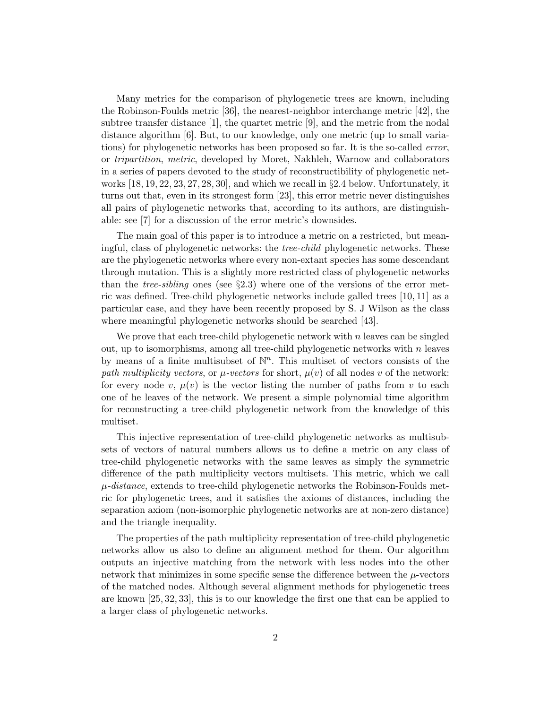Many metrics for the comparison of phylogenetic trees are known, including the Robinson-Foulds metric [36], the nearest-neighbor interchange metric [42], the subtree transfer distance [1], the quartet metric [9], and the metric from the nodal distance algorithm [6]. But, to our knowledge, only one metric (up to small variations) for phylogenetic networks has been proposed so far. It is the so-called error, or tripartition, metric, developed by Moret, Nakhleh, Warnow and collaborators in a series of papers devoted to the study of reconstructibility of phylogenetic networks  $[18, 19, 22, 23, 27, 28, 30]$ , and which we recall in §2.4 below. Unfortunately, it turns out that, even in its strongest form [23], this error metric never distinguishes all pairs of phylogenetic networks that, according to its authors, are distinguishable: see [7] for a discussion of the error metric's downsides.

The main goal of this paper is to introduce a metric on a restricted, but meaningful, class of phylogenetic networks: the tree-child phylogenetic networks. These are the phylogenetic networks where every non-extant species has some descendant through mutation. This is a slightly more restricted class of phylogenetic networks than the *tree-sibling* ones (see  $\S 2.3$ ) where one of the versions of the error metric was defined. Tree-child phylogenetic networks include galled trees [10, 11] as a particular case, and they have been recently proposed by S. J Wilson as the class where meaningful phylogenetic networks should be searched [43].

We prove that each tree-child phylogenetic network with  $n$  leaves can be singled out, up to isomorphisms, among all tree-child phylogenetic networks with  $n$  leaves by means of a finite multisubset of  $\mathbb{N}^n$ . This multiset of vectors consists of the path multiplicity vectors, or  $\mu$ -vectors for short,  $\mu(v)$  of all nodes v of the network: for every node v,  $\mu(v)$  is the vector listing the number of paths from v to each one of he leaves of the network. We present a simple polynomial time algorithm for reconstructing a tree-child phylogenetic network from the knowledge of this multiset.

This injective representation of tree-child phylogenetic networks as multisubsets of vectors of natural numbers allows us to define a metric on any class of tree-child phylogenetic networks with the same leaves as simply the symmetric difference of the path multiplicity vectors multisets. This metric, which we call  $\mu$ -distance, extends to tree-child phylogenetic networks the Robinson-Foulds metric for phylogenetic trees, and it satisfies the axioms of distances, including the separation axiom (non-isomorphic phylogenetic networks are at non-zero distance) and the triangle inequality.

The properties of the path multiplicity representation of tree-child phylogenetic networks allow us also to define an alignment method for them. Our algorithm outputs an injective matching from the network with less nodes into the other network that minimizes in some specific sense the difference between the  $\mu$ -vectors of the matched nodes. Although several alignment methods for phylogenetic trees are known [25, 32, 33], this is to our knowledge the first one that can be applied to a larger class of phylogenetic networks.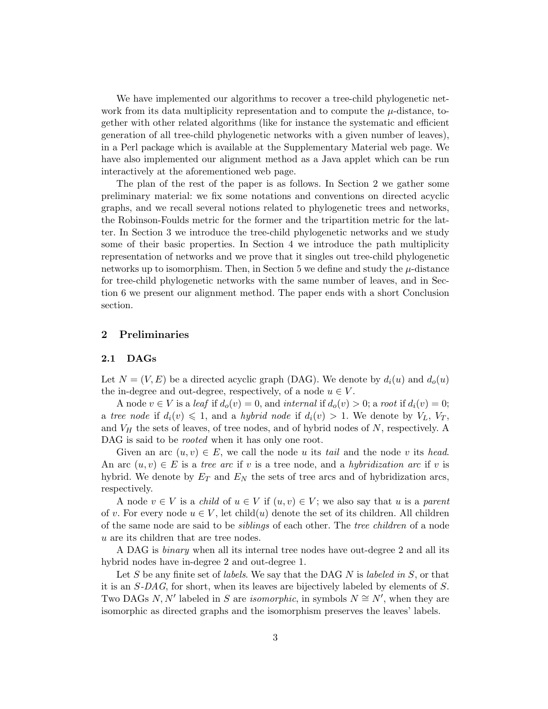We have implemented our algorithms to recover a tree-child phylogenetic network from its data multiplicity representation and to compute the  $\mu$ -distance, together with other related algorithms (like for instance the systematic and efficient generation of all tree-child phylogenetic networks with a given number of leaves), in a Perl package which is available at the Supplementary Material web page. We have also implemented our alignment method as a Java applet which can be run interactively at the aforementioned web page.

The plan of the rest of the paper is as follows. In Section 2 we gather some preliminary material: we fix some notations and conventions on directed acyclic graphs, and we recall several notions related to phylogenetic trees and networks, the Robinson-Foulds metric for the former and the tripartition metric for the latter. In Section 3 we introduce the tree-child phylogenetic networks and we study some of their basic properties. In Section 4 we introduce the path multiplicity representation of networks and we prove that it singles out tree-child phylogenetic networks up to isomorphism. Then, in Section 5 we define and study the  $\mu$ -distance for tree-child phylogenetic networks with the same number of leaves, and in Section 6 we present our alignment method. The paper ends with a short Conclusion section.

# 2 Preliminaries

#### 2.1 DAGs

Let  $N = (V, E)$  be a directed acyclic graph (DAG). We denote by  $d_i(u)$  and  $d_o(u)$ the in-degree and out-degree, respectively, of a node  $u \in V$ .

A node  $v \in V$  is a leaf if  $d_o(v) = 0$ , and internal if  $d_o(v) > 0$ ; a root if  $d_i(v) = 0$ ; a tree node if  $d_i(v) \leq 1$ , and a hybrid node if  $d_i(v) > 1$ . We denote by  $V_L$ ,  $V_T$ , and  $V_H$  the sets of leaves, of tree nodes, and of hybrid nodes of  $N$ , respectively. A DAG is said to be *rooted* when it has only one root.

Given an arc  $(u, v) \in E$ , we call the node u its tail and the node v its head. An arc  $(u, v) \in E$  is a tree arc if v is a tree node, and a hybridization arc if v is hybrid. We denote by  $E_T$  and  $E_N$  the sets of tree arcs and of hybridization arcs, respectively.

A node  $v \in V$  is a *child* of  $u \in V$  if  $(u, v) \in V$ ; we also say that u is a *parent* of v. For every node  $u \in V$ , let child(u) denote the set of its children. All children of the same node are said to be siblings of each other. The tree children of a node u are its children that are tree nodes.

A DAG is binary when all its internal tree nodes have out-degree 2 and all its hybrid nodes have in-degree 2 and out-degree 1.

Let S be any finite set of *labels*. We say that the DAG N is *labeled in* S, or that it is an S-DAG, for short, when its leaves are bijectively labeled by elements of S. Two DAGs N, N' labeled in S are *isomorphic*, in symbols  $N \cong N'$ , when they are isomorphic as directed graphs and the isomorphism preserves the leaves' labels.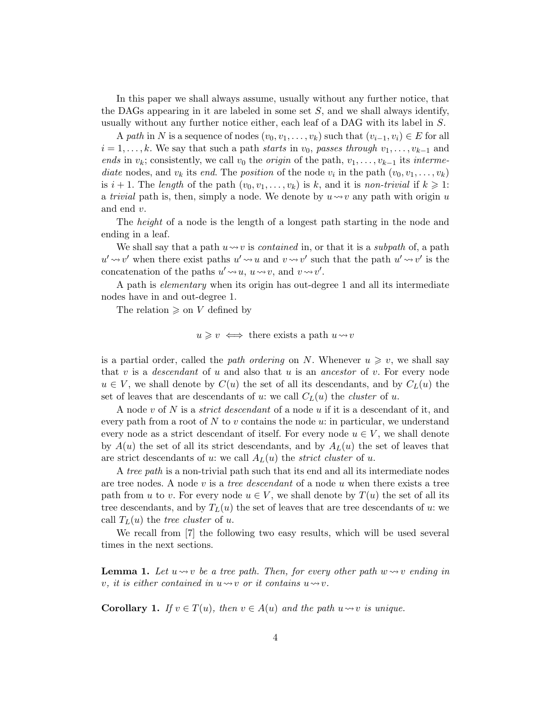In this paper we shall always assume, usually without any further notice, that the DAGs appearing in it are labeled in some set  $S$ , and we shall always identify, usually without any further notice either, each leaf of a DAG with its label in S.

A path in N is a sequence of nodes  $(v_0, v_1, \ldots, v_k)$  such that  $(v_{i-1}, v_i) \in E$  for all  $i = 1, \ldots, k$ . We say that such a path starts in  $v_0$ , passes through  $v_1, \ldots, v_{k-1}$  and ends in  $v_k$ ; consistently, we call  $v_0$  the *origin* of the path,  $v_1, \ldots, v_{k-1}$  its *interme*diate nodes, and  $v_k$  its end. The position of the node  $v_i$  in the path  $(v_0, v_1, \ldots, v_k)$ is  $i + 1$ . The length of the path  $(v_0, v_1, \ldots, v_k)$  is k, and it is non-trivial if  $k \geq 1$ : a *trivial* path is, then, simply a node. We denote by  $u \rightarrow v$  any path with origin u and end v.

The height of a node is the length of a longest path starting in the node and ending in a leaf.

We shall say that a path  $u \rightarrow v$  is *contained* in, or that it is a *subpath* of, a path  $u' \rightarrow v'$  when there exist paths  $u' \rightarrow u$  and  $v \rightarrow v'$  such that the path  $u' \rightarrow v'$  is the concatenation of the paths  $u' \rightarrow u$ ,  $u \rightarrow v$ , and  $v \rightarrow v'$ .

A path is elementary when its origin has out-degree 1 and all its intermediate nodes have in and out-degree 1.

The relation  $\geq$  on V defined by

$$
u \geqslant v \iff
$$
 there exists a path  $u \leadsto v$ 

is a partial order, called the path ordering on N. Whenever  $u \geq v$ , we shall say that v is a *descendant* of u and also that u is an *ancestor* of v. For every node  $u \in V$ , we shall denote by  $C(u)$  the set of all its descendants, and by  $C<sub>L</sub>(u)$  the set of leaves that are descendants of u: we call  $C<sub>L</sub>(u)$  the *cluster* of u.

A node v of N is a *strict descendant* of a node u if it is a descendant of it, and every path from a root of  $N$  to  $v$  contains the node  $u$ : in particular, we understand every node as a strict descendant of itself. For every node  $u \in V$ , we shall denote by  $A(u)$  the set of all its strict descendants, and by  $A_L(u)$  the set of leaves that are strict descendants of u: we call  $A_L(u)$  the *strict cluster* of u.

A tree path is a non-trivial path such that its end and all its intermediate nodes are tree nodes. A node v is a *tree descendant* of a node u when there exists a tree path from u to v. For every node  $u \in V$ , we shall denote by  $T(u)$  the set of all its tree descendants, and by  $T_L(u)$  the set of leaves that are tree descendants of u: we call  $T_L(u)$  the tree cluster of u.

We recall from [7] the following two easy results, which will be used several times in the next sections.

**Lemma 1.** Let  $u \rightsquigarrow v$  be a tree path. Then, for every other path  $w \rightsquigarrow v$  ending in v, it is either contained in  $u \rightarrow v$  or it contains  $u \rightarrow v$ .

**Corollary 1.** If  $v \in T(u)$ , then  $v \in A(u)$  and the path  $u \rightsquigarrow v$  is unique.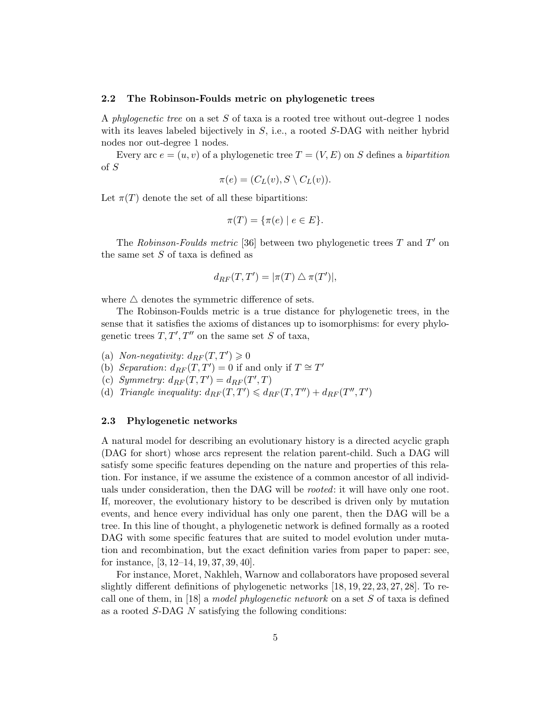#### 2.2 The Robinson-Foulds metric on phylogenetic trees

A phylogenetic tree on a set S of taxa is a rooted tree without out-degree 1 nodes with its leaves labeled bijectively in  $S$ , i.e., a rooted  $S$ -DAG with neither hybrid nodes nor out-degree 1 nodes.

Every arc  $e = (u, v)$  of a phylogenetic tree  $T = (V, E)$  on S defines a bipartition of S

$$
\pi(e) = (C_L(v), S \setminus C_L(v)).
$$

Let  $\pi(T)$  denote the set of all these bipartitions:

$$
\pi(T) = \{\pi(e) \mid e \in E\}.
$$

The Robinson-Foulds metric [36] between two phylogenetic trees  $T$  and  $T'$  on the same set  $S$  of taxa is defined as

$$
d_{RF}(T,T') = |\pi(T) \bigtriangleup \pi(T')|,
$$

where  $\triangle$  denotes the symmetric difference of sets.

The Robinson-Foulds metric is a true distance for phylogenetic trees, in the sense that it satisfies the axioms of distances up to isomorphisms: for every phylogenetic trees  $T, T', T''$  on the same set S of taxa,

- (a) Non-negativity:  $d_{RF}(T, T') \geq 0$
- (b) Separation:  $d_{RF}(T, T') = 0$  if and only if  $T \cong T'$
- (c) Symmetry:  $d_{RF}(T, T') = d_{RF}(T', T)$
- (d) Triangle inequality:  $d_{RF}(T, T') \leq d_{RF}(T, T'') + d_{RF}(T'', T')$

#### 2.3 Phylogenetic networks

A natural model for describing an evolutionary history is a directed acyclic graph (DAG for short) whose arcs represent the relation parent-child. Such a DAG will satisfy some specific features depending on the nature and properties of this relation. For instance, if we assume the existence of a common ancestor of all individuals under consideration, then the DAG will be *rooted*: it will have only one root. If, moreover, the evolutionary history to be described is driven only by mutation events, and hence every individual has only one parent, then the DAG will be a tree. In this line of thought, a phylogenetic network is defined formally as a rooted DAG with some specific features that are suited to model evolution under mutation and recombination, but the exact definition varies from paper to paper: see, for instance, [3, 12–14, 19, 37, 39, 40].

For instance, Moret, Nakhleh, Warnow and collaborators have proposed several slightly different definitions of phylogenetic networks [18, 19, 22, 23, 27, 28]. To recall one of them, in [18] a model phylogenetic network on a set S of taxa is defined as a rooted S-DAG N satisfying the following conditions: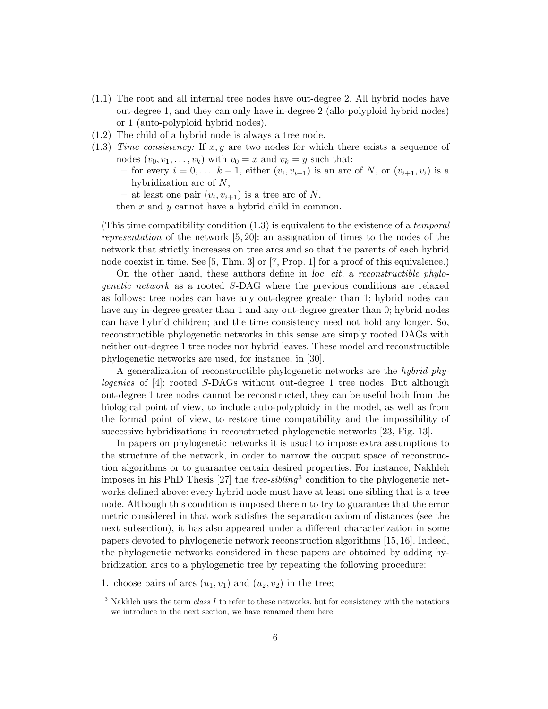- (1.1) The root and all internal tree nodes have out-degree 2. All hybrid nodes have out-degree 1, and they can only have in-degree 2 (allo-polyploid hybrid nodes) or 1 (auto-polyploid hybrid nodes).
- (1.2) The child of a hybrid node is always a tree node.
- (1.3) Time consistency: If  $x, y$  are two nodes for which there exists a sequence of nodes  $(v_0, v_1, \ldots, v_k)$  with  $v_0 = x$  and  $v_k = y$  such that:
	- for every  $i = 0, ..., k 1$ , either  $(v_i, v_{i+1})$  is an arc of N, or  $(v_{i+1}, v_i)$  is a hybridization arc of N,
	- at least one pair  $(v_i, v_{i+1})$  is a tree arc of N,

then  $x$  and  $y$  cannot have a hybrid child in common.

(This time compatibility condition  $(1.3)$  is equivalent to the existence of a temporal representation of the network  $[5, 20]$ : an assignation of times to the nodes of the network that strictly increases on tree arcs and so that the parents of each hybrid node coexist in time. See [5, Thm. 3] or [7, Prop. 1] for a proof of this equivalence.)

On the other hand, these authors define in loc. cit. a reconstructible phylogenetic network as a rooted S-DAG where the previous conditions are relaxed as follows: tree nodes can have any out-degree greater than 1; hybrid nodes can have any in-degree greater than 1 and any out-degree greater than 0; hybrid nodes can have hybrid children; and the time consistency need not hold any longer. So, reconstructible phylogenetic networks in this sense are simply rooted DAGs with neither out-degree 1 tree nodes nor hybrid leaves. These model and reconstructible phylogenetic networks are used, for instance, in [30].

A generalization of reconstructible phylogenetic networks are the hybrid phylogenies of [4]: rooted S-DAGs without out-degree 1 tree nodes. But although out-degree 1 tree nodes cannot be reconstructed, they can be useful both from the biological point of view, to include auto-polyploidy in the model, as well as from the formal point of view, to restore time compatibility and the impossibility of successive hybridizations in reconstructed phylogenetic networks [23, Fig. 13].

In papers on phylogenetic networks it is usual to impose extra assumptions to the structure of the network, in order to narrow the output space of reconstruction algorithms or to guarantee certain desired properties. For instance, Nakhleh imposes in his PhD Thesis  $[27]$  the *tree-sibling*<sup>3</sup> condition to the phylogenetic networks defined above: every hybrid node must have at least one sibling that is a tree node. Although this condition is imposed therein to try to guarantee that the error metric considered in that work satisfies the separation axiom of distances (see the next subsection), it has also appeared under a different characterization in some papers devoted to phylogenetic network reconstruction algorithms [15, 16]. Indeed, the phylogenetic networks considered in these papers are obtained by adding hybridization arcs to a phylogenetic tree by repeating the following procedure:

<sup>1.</sup> choose pairs of arcs  $(u_1, v_1)$  and  $(u_2, v_2)$  in the tree;

 $3$  Nakhleh uses the term *class I* to refer to these networks, but for consistency with the notations we introduce in the next section, we have renamed them here.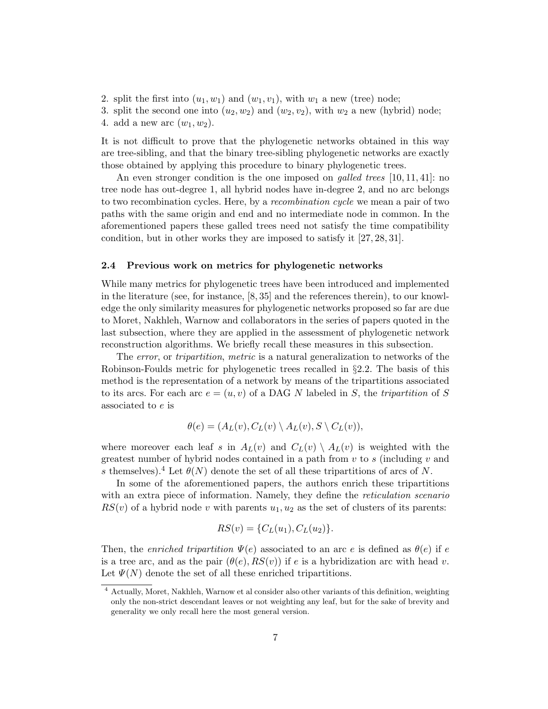- 2. split the first into  $(u_1, w_1)$  and  $(w_1, v_1)$ , with  $w_1$  a new (tree) node;
- 3. split the second one into  $(u_2, w_2)$  and  $(w_2, v_2)$ , with  $w_2$  a new (hybrid) node;
- 4. add a new arc  $(w_1, w_2)$ .

It is not difficult to prove that the phylogenetic networks obtained in this way are tree-sibling, and that the binary tree-sibling phylogenetic networks are exactly those obtained by applying this procedure to binary phylogenetic trees.

An even stronger condition is the one imposed on *galled trees* [10, 11, 41]: no tree node has out-degree 1, all hybrid nodes have in-degree 2, and no arc belongs to two recombination cycles. Here, by a recombination cycle we mean a pair of two paths with the same origin and end and no intermediate node in common. In the aforementioned papers these galled trees need not satisfy the time compatibility condition, but in other works they are imposed to satisfy it [27, 28, 31].

#### 2.4 Previous work on metrics for phylogenetic networks

While many metrics for phylogenetic trees have been introduced and implemented in the literature (see, for instance, [8, 35] and the references therein), to our knowledge the only similarity measures for phylogenetic networks proposed so far are due to Moret, Nakhleh, Warnow and collaborators in the series of papers quoted in the last subsection, where they are applied in the assessment of phylogenetic network reconstruction algorithms. We briefly recall these measures in this subsection.

The error, or tripartition, metric is a natural generalization to networks of the Robinson-Foulds metric for phylogenetic trees recalled in §2.2. The basis of this method is the representation of a network by means of the tripartitions associated to its arcs. For each arc  $e = (u, v)$  of a DAG N labeled in S, the tripartition of S associated to e is

$$
\theta(e) = (A_L(v), C_L(v) \setminus A_L(v), S \setminus C_L(v)),
$$

where moreover each leaf s in  $A_L(v)$  and  $C_L(v) \setminus A_L(v)$  is weighted with the greatest number of hybrid nodes contained in a path from  $v$  to  $s$  (including  $v$  and s themselves).<sup>4</sup> Let  $\theta(N)$  denote the set of all these tripartitions of arcs of N.

In some of the aforementioned papers, the authors enrich these tripartitions with an extra piece of information. Namely, they define the *reticulation scenario*  $RS(v)$  of a hybrid node v with parents  $u_1, u_2$  as the set of clusters of its parents:

$$
RS(v) = \{C_L(u_1), C_L(u_2)\}.
$$

Then, the enriched tripartition  $\Psi(e)$  associated to an arc e is defined as  $\theta(e)$  if e is a tree arc, and as the pair  $(\theta(e), RS(v))$  if e is a hybridization arc with head v. Let  $\Psi(N)$  denote the set of all these enriched tripartitions.

<sup>4</sup> Actually, Moret, Nakhleh, Warnow et al consider also other variants of this definition, weighting only the non-strict descendant leaves or not weighting any leaf, but for the sake of brevity and generality we only recall here the most general version.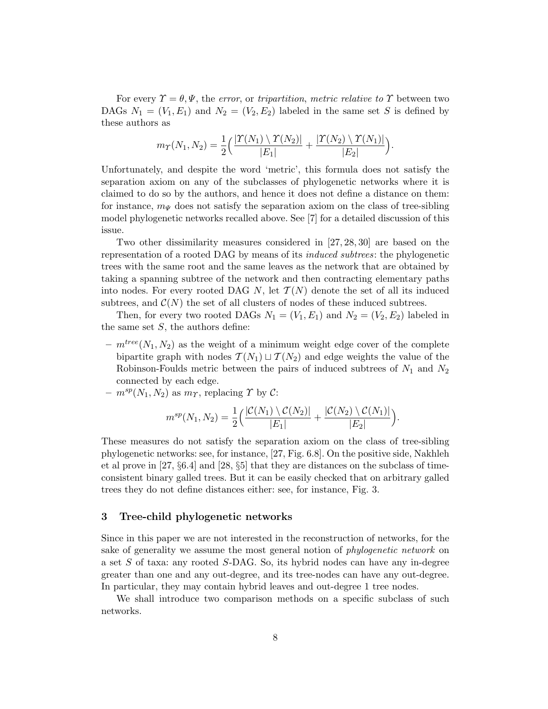For every  $\Upsilon = \theta, \Psi$ , the error, or tripartition, metric relative to  $\Upsilon$  between two DAGs  $N_1 = (V_1, E_1)$  and  $N_2 = (V_2, E_2)$  labeled in the same set S is defined by these authors as

$$
m_{\Upsilon}(N_1,N_2)=\frac{1}{2}\Big(\frac{|\Upsilon(N_1)\setminus\Upsilon(N_2)|}{|E_1|}+\frac{|\Upsilon(N_2)\setminus\Upsilon(N_1)|}{|E_2|}\Big).
$$

Unfortunately, and despite the word 'metric', this formula does not satisfy the separation axiom on any of the subclasses of phylogenetic networks where it is claimed to do so by the authors, and hence it does not define a distance on them: for instance,  $m_{\Psi}$  does not satisfy the separation axiom on the class of tree-sibling model phylogenetic networks recalled above. See [7] for a detailed discussion of this issue.

Two other dissimilarity measures considered in [27, 28, 30] are based on the representation of a rooted DAG by means of its induced subtrees: the phylogenetic trees with the same root and the same leaves as the network that are obtained by taking a spanning subtree of the network and then contracting elementary paths into nodes. For every rooted DAG N, let  $\mathcal{T}(N)$  denote the set of all its induced subtrees, and  $\mathcal{C}(N)$  the set of all clusters of nodes of these induced subtrees.

Then, for every two rooted DAGs  $N_1 = (V_1, E_1)$  and  $N_2 = (V_2, E_2)$  labeled in the same set  $S$ , the authors define:

–  $m^{tree}(N_1, N_2)$  as the weight of a minimum weight edge cover of the complete bipartite graph with nodes  $\mathcal{T}(N_1) \sqcup \mathcal{T}(N_2)$  and edge weights the value of the Robinson-Foulds metric between the pairs of induced subtrees of  $N_1$  and  $N_2$ connected by each edge.

 $- m^{sp}(N_1, N_2)$  as  $m_{\Upsilon}$ , replacing  $\Upsilon$  by  $\mathcal{C}$ :

$$
m^{sp}(N_1, N_2) = \frac{1}{2} \Big( \frac{|\mathcal{C}(N_1) \setminus \mathcal{C}(N_2)|}{|E_1|} + \frac{|\mathcal{C}(N_2) \setminus \mathcal{C}(N_1)|}{|E_2|} \Big).
$$

These measures do not satisfy the separation axiom on the class of tree-sibling phylogenetic networks: see, for instance, [27, Fig. 6.8]. On the positive side, Nakhleh et al prove in [27, §6.4] and [28, §5] that they are distances on the subclass of timeconsistent binary galled trees. But it can be easily checked that on arbitrary galled trees they do not define distances either: see, for instance, Fig. 3.

# 3 Tree-child phylogenetic networks

Since in this paper we are not interested in the reconstruction of networks, for the sake of generality we assume the most general notion of phylogenetic network on a set S of taxa: any rooted S-DAG. So, its hybrid nodes can have any in-degree greater than one and any out-degree, and its tree-nodes can have any out-degree. In particular, they may contain hybrid leaves and out-degree 1 tree nodes.

We shall introduce two comparison methods on a specific subclass of such networks.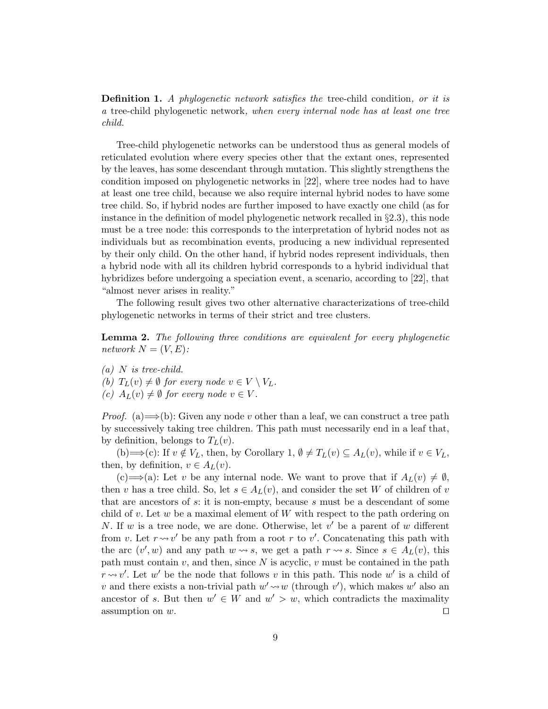**Definition 1.** A phylogenetic network satisfies the tree-child condition, or it is a tree-child phylogenetic network, when every internal node has at least one tree child.

Tree-child phylogenetic networks can be understood thus as general models of reticulated evolution where every species other that the extant ones, represented by the leaves, has some descendant through mutation. This slightly strengthens the condition imposed on phylogenetic networks in [22], where tree nodes had to have at least one tree child, because we also require internal hybrid nodes to have some tree child. So, if hybrid nodes are further imposed to have exactly one child (as for instance in the definition of model phylogenetic network recalled in  $\S 2.3$ ), this node must be a tree node: this corresponds to the interpretation of hybrid nodes not as individuals but as recombination events, producing a new individual represented by their only child. On the other hand, if hybrid nodes represent individuals, then a hybrid node with all its children hybrid corresponds to a hybrid individual that hybridizes before undergoing a speciation event, a scenario, according to [22], that "almost never arises in reality."

The following result gives two other alternative characterizations of tree-child phylogenetic networks in terms of their strict and tree clusters.

Lemma 2. The following three conditions are equivalent for every phylogenetic network  $N = (V, E)$ :

 $(a)$  N is tree-child.

(b)  $T_L(v) \neq \emptyset$  for every node  $v \in V \setminus V_L$ .

(c)  $A_L(v) \neq \emptyset$  for every node  $v \in V$ .

*Proof.* (a)  $\Longrightarrow$  (b): Given any node v other than a leaf, we can construct a tree path by successively taking tree children. This path must necessarily end in a leaf that, by definition, belongs to  $T_L(v)$ .

(b)  $\Longrightarrow$  (c): If  $v \notin V_L$ , then, by Corollary 1,  $\emptyset \neq T_L(v) \subseteq A_L(v)$ , while if  $v \in V_L$ , then, by definition,  $v \in A_L(v)$ .

(c)⇒(a): Let v be any internal node. We want to prove that if  $A_L(v) \neq \emptyset$ , then v has a tree child. So, let  $s \in A_L(v)$ , and consider the set W of children of v that are ancestors of  $s$ : it is non-empty, because  $s$  must be a descendant of some child of v. Let w be a maximal element of  $W$  with respect to the path ordering on N. If w is a tree node, we are done. Otherwise, let  $v'$  be a parent of w different from v. Let  $r \rightsquigarrow v'$  be any path from a root r to v'. Concatenating this path with the arc  $(v', w)$  and any path  $w \rightsquigarrow s$ , we get a path  $r \rightsquigarrow s$ . Since  $s \in A_L(v)$ , this path must contain v, and then, since N is acyclic, v must be contained in the path  $r \rightarrow v'$ . Let w' be the node that follows v in this path. This node w' is a child of v and there exists a non-trivial path  $w' \rightarrow w$  (through v'), which makes w' also an ancestor of s. But then  $w' \in W$  and  $w' > w$ , which contradicts the maximality assumption on  $w$ .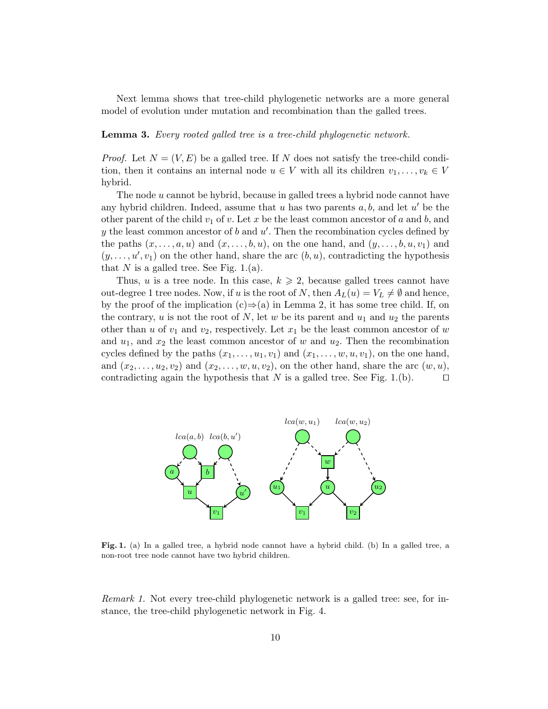Next lemma shows that tree-child phylogenetic networks are a more general model of evolution under mutation and recombination than the galled trees.

Lemma 3. Every rooted galled tree is a tree-child phylogenetic network.

*Proof.* Let  $N = (V, E)$  be a galled tree. If N does not satisfy the tree-child condition, then it contains an internal node  $u \in V$  with all its children  $v_1, \ldots, v_k \in V$ hybrid.

The node u cannot be hybrid, because in galled trees a hybrid node cannot have any hybrid children. Indeed, assume that  $u$  has two parents  $a, b$ , and let  $u'$  be the other parent of the child  $v_1$  of v. Let x be the least common ancestor of a and b, and  $y$  the least common ancestor of  $b$  and  $u'$ . Then the recombination cycles defined by the paths  $(x, \ldots, a, u)$  and  $(x, \ldots, b, u)$ , on the one hand, and  $(y, \ldots, b, u, v_1)$  and  $(y, \ldots, u', v_1)$  on the other hand, share the arc  $(b, u)$ , contradicting the hypothesis that N is a galled tree. See Fig. 1.(a).

Thus, u is a tree node. In this case,  $k \geqslant 2$ , because galled trees cannot have out-degree 1 tree nodes. Now, if u is the root of N, then  $A_L(u) = V_L \neq \emptyset$  and hence, by the proof of the implication  $(c) \Rightarrow (a)$  in Lemma 2, it has some tree child. If, on the contrary, u is not the root of N, let w be its parent and  $u_1$  and  $u_2$  the parents other than u of  $v_1$  and  $v_2$ , respectively. Let  $x_1$  be the least common ancestor of w and  $u_1$ , and  $x_2$  the least common ancestor of w and  $u_2$ . Then the recombination cycles defined by the paths  $(x_1, \ldots, u_1, v_1)$  and  $(x_1, \ldots, w, u, v_1)$ , on the one hand, and  $(x_2, \ldots, u_2, v_2)$  and  $(x_2, \ldots, w, u, v_2)$ , on the other hand, share the arc  $(w, u)$ , contradicting again the hypothesis that N is a galled tree. See Fig. 1.(b).  $\Box$ 



Fig. 1. (a) In a galled tree, a hybrid node cannot have a hybrid child. (b) In a galled tree, a non-root tree node cannot have two hybrid children.

Remark 1. Not every tree-child phylogenetic network is a galled tree: see, for instance, the tree-child phylogenetic network in Fig. 4.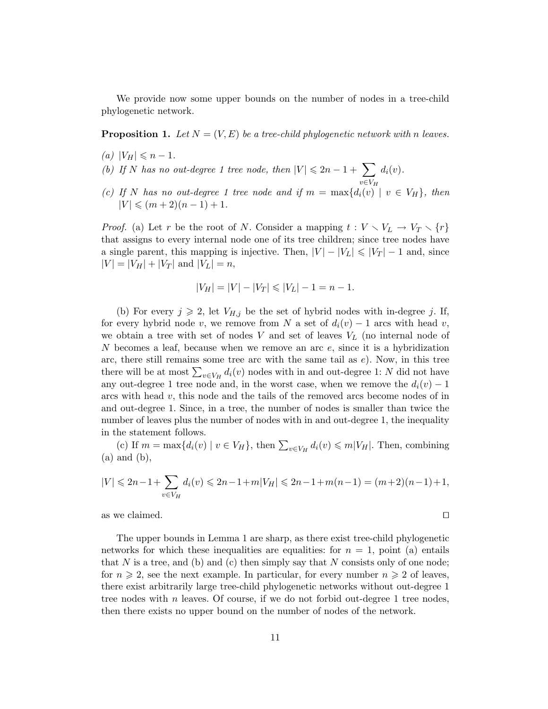We provide now some upper bounds on the number of nodes in a tree-child phylogenetic network.

**Proposition 1.** Let  $N = (V, E)$  be a tree-child phylogenetic network with n leaves.

- (a)  $|V_H| \leq n 1$ .
- (b) If N has no out-degree 1 tree node, then  $|V| \leq 2n 1 + \sum$  $d_i(v)$ .
- $v \in V_H$ (c) If N has no out-degree 1 tree node and if  $m = \max\{d_i(v) \mid v \in V_H\}$ , then  $|V| \leqslant (m+2)(n-1)+1.$

*Proof.* (a) Let r be the root of N. Consider a mapping  $t: V \setminus V_L \to V_T \setminus \{r\}$ that assigns to every internal node one of its tree children; since tree nodes have a single parent, this mapping is injective. Then,  $|V| - |V_L| \leq |V_T| - 1$  and, since  $|V| = |V_H| + |V_T|$  and  $|V_L| = n$ ,

$$
|V_H| = |V| - |V_T| \le |V_L| - 1 = n - 1.
$$

(b) For every  $j \geq 2$ , let  $V_{H,j}$  be the set of hybrid nodes with in-degree j. If, for every hybrid node v, we remove from N a set of  $d_i(v) - 1$  arcs with head v, we obtain a tree with set of nodes  $V$  and set of leaves  $V<sub>L</sub>$  (no internal node of N becomes a leaf, because when we remove an arc  $e$ , since it is a hybridization arc, there still remains some tree arc with the same tail as  $e$ ). Now, in this tree there will be at most  $\sum_{v \in V_H} d_i(v)$  nodes with in and out-degree 1: N did not have any out-degree 1 tree node and, in the worst case, when we remove the  $d_i(v) - 1$ arcs with head  $v$ , this node and the tails of the removed arcs become nodes of in and out-degree 1. Since, in a tree, the number of nodes is smaller than twice the number of leaves plus the number of nodes with in and out-degree 1, the inequality in the statement follows.

(c) If  $m = \max\{d_i(v) \mid v \in V_H\}$ , then  $\sum_{v \in V_H} d_i(v) \leq m|V_H|$ . Then, combining (a) and (b),

$$
|V| \le 2n - 1 + \sum_{v \in V_H} d_i(v) \le 2n - 1 + m|V_H| \le 2n - 1 + m(n - 1) = (m + 2)(n - 1) + 1,
$$

as we claimed.  $\square$ 

The upper bounds in Lemma 1 are sharp, as there exist tree-child phylogenetic networks for which these inequalities are equalities: for  $n = 1$ , point (a) entails that N is a tree, and (b) and (c) then simply say that N consists only of one node: for  $n \geqslant 2$ , see the next example. In particular, for every number  $n \geqslant 2$  of leaves, there exist arbitrarily large tree-child phylogenetic networks without out-degree 1 tree nodes with  $n$  leaves. Of course, if we do not forbid out-degree 1 tree nodes, then there exists no upper bound on the number of nodes of the network.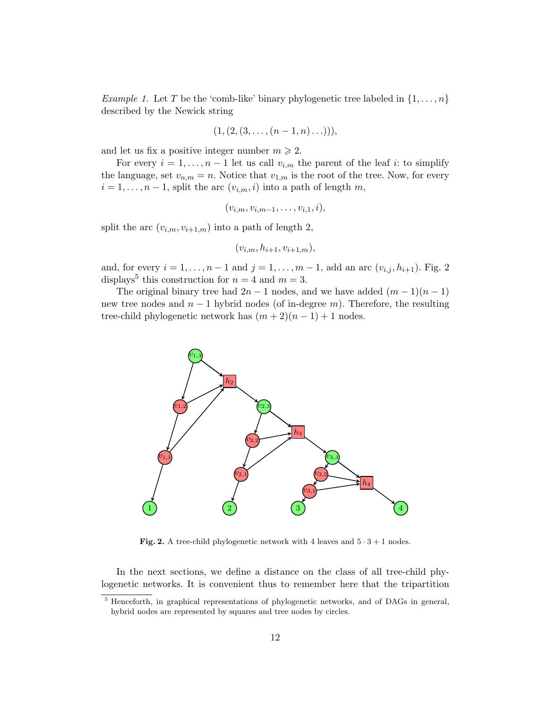*Example 1.* Let T be the 'comb-like' binary phylogenetic tree labeled in  $\{1, \ldots, n\}$ described by the Newick string

$$
(1, (2, (3, \ldots, (n-1, n) \ldots))),
$$

and let us fix a positive integer number  $m \geq 2$ .

For every  $i = 1, \ldots, n-1$  let us call  $v_{i,m}$  the parent of the leaf i: to simplify the language, set  $v_{n,m} = n$ . Notice that  $v_{1,m}$  is the root of the tree. Now, for every  $i = 1, \ldots, n-1$ , split the arc  $(v_{i,m}, i)$  into a path of length m,

$$
(v_{i,m}, v_{i,m-1}, \ldots, v_{i,1}, i),
$$

split the arc  $(v_{i,m}, v_{i+1,m})$  into a path of length 2,

$$
(v_{i,m}, h_{i+1}, v_{i+1,m}),
$$

and, for every  $i = 1, ..., n - 1$  and  $j = 1, ..., m - 1$ , add an arc  $(v_{i,j}, h_{i+1})$ . Fig. 2 displays<sup>5</sup> this construction for  $n = 4$  and  $m = 3$ .

The original binary tree had  $2n-1$  nodes, and we have added  $(m-1)(n-1)$ new tree nodes and  $n-1$  hybrid nodes (of in-degree m). Therefore, the resulting tree-child phylogenetic network has  $(m + 2)(n - 1) + 1$  nodes.



Fig. 2. A tree-child phylogenetic network with 4 leaves and  $5 \cdot 3 + 1$  nodes.

In the next sections, we define a distance on the class of all tree-child phylogenetic networks. It is convenient thus to remember here that the tripartition

<sup>5</sup> Henceforth, in graphical representations of phylogenetic networks, and of DAGs in general, hybrid nodes are represented by squares and tree nodes by circles.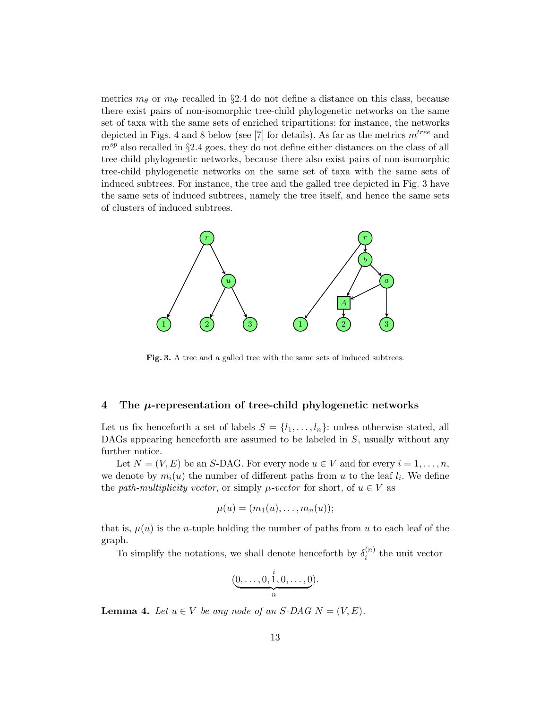metrics  $m_{\theta}$  or  $m_{\Psi}$  recalled in §2.4 do not define a distance on this class, because there exist pairs of non-isomorphic tree-child phylogenetic networks on the same set of taxa with the same sets of enriched tripartitions: for instance, the networks depicted in Figs. 4 and 8 below (see [7] for details). As far as the metrics  $m^{tree}$  and  $m^{sp}$  also recalled in §2.4 goes, they do not define either distances on the class of all tree-child phylogenetic networks, because there also exist pairs of non-isomorphic tree-child phylogenetic networks on the same set of taxa with the same sets of induced subtrees. For instance, the tree and the galled tree depicted in Fig. 3 have the same sets of induced subtrees, namely the tree itself, and hence the same sets of clusters of induced subtrees.



Fig. 3. A tree and a galled tree with the same sets of induced subtrees.

#### 4 The  $\mu$ -representation of tree-child phylogenetic networks

Let us fix henceforth a set of labels  $S = \{l_1, \ldots, l_n\}$ : unless otherwise stated, all DAGs appearing henceforth are assumed to be labeled in S, usually without any further notice.

Let  $N = (V, E)$  be an S-DAG. For every node  $u \in V$  and for every  $i = 1, \ldots, n$ , we denote by  $m_i(u)$  the number of different paths from u to the leaf  $l_i$ . We define the path-multiplicity vector, or simply  $\mu$ -vector for short, of  $u \in V$  as

$$
\mu(u)=(m_1(u),\ldots,m_n(u));
$$

that is,  $\mu(u)$  is the *n*-tuple holding the number of paths from u to each leaf of the graph.

To simplify the notations, we shall denote henceforth by  $\delta_i^{(n)}$  $i^{(n)}$  the unit vector

$$
(\underbrace{0,\ldots,0,\stackrel{i}{1},0,\ldots,0}_{n}).
$$

**Lemma 4.** Let  $u \in V$  be any node of an S-DAG  $N = (V, E)$ .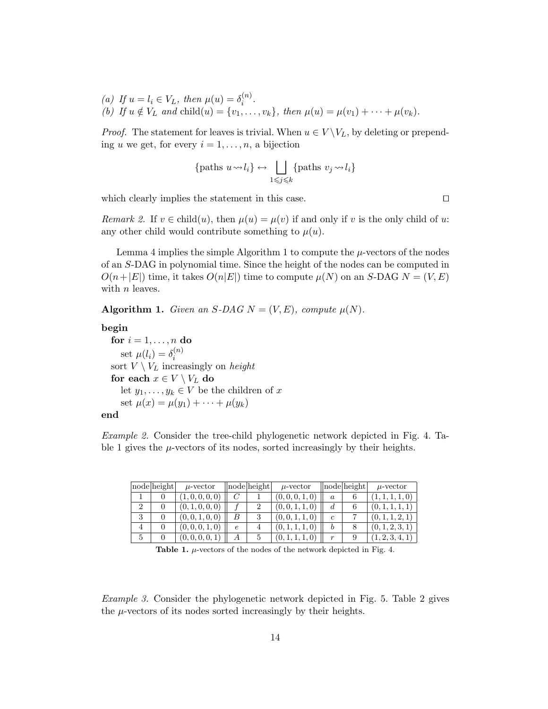(a) If  $u = l_i \in V_L$ , then  $\mu(u) = \delta_i^{(n)}$  $\binom{n}{i}$ . (b) If  $u \notin V_L$  and child $(u) = \{v_1, \ldots, v_k\}$ , then  $\mu(u) = \mu(v_1) + \cdots + \mu(v_k)$ .

*Proof.* The statement for leaves is trivial. When  $u \in V \backslash V_L$ , by deleting or prepending u we get, for every  $i = 1, \ldots, n$ , a bijection

$$
\{\text{paths } u \leadsto l_i\} \leftrightarrow \bigsqcup_{1 \leq j \leq k} \{\text{paths } v_j \leadsto l_i\}
$$

which clearly implies the statement in this case.  $\Box$ 

Remark 2. If  $v \in \text{child}(u)$ , then  $\mu(u) = \mu(v)$  if and only if v is the only child of u: any other child would contribute something to  $\mu(u)$ .

Lemma 4 implies the simple Algorithm 1 to compute the  $\mu$ -vectors of the nodes of an S-DAG in polynomial time. Since the height of the nodes can be computed in  $O(n+|E|)$  time, it takes  $O(n|E|)$  time to compute  $\mu(N)$  on an S-DAG  $N = (V, E)$ with *n* leaves.

Algorithm 1. Given an S-DAG  $N = (V, E)$ , compute  $\mu(N)$ .

begin

for  $i = 1, \ldots, n$  do set  $\mu(l_i) = \delta_i^{(n)}$ i sort  $V \setminus V_L$  increasingly on *height* for each  $x \in V \setminus V_L$  do let  $y_1, \ldots, y_k \in V$  be the children of x set  $\mu(x) = \mu(y_1) + \cdots + \mu(y_k)$ 

end

Example 2. Consider the tree-child phylogenetic network depicted in Fig. 4. Table 1 gives the  $\mu$ -vectors of its nodes, sorted increasingly by their heights.

|                | node height | $\mu$ -vector   |            | node height | $\mu$ -vector   |                  | node height | $\mu$ -vector   |
|----------------|-------------|-----------------|------------|-------------|-----------------|------------------|-------------|-----------------|
|                |             | (1,0,0,0,0)     |            |             | (0, 0, 0, 1, 0) | $\alpha$         |             | (1, 1, 1, 1, 0) |
| $\overline{2}$ |             | (0, 1, 0, 0, 0) |            |             | (0,0,1,1,0)     | d                |             |                 |
| Ő              |             | (0, 0, 1, 0, 0) | B          |             | (0,0,1,1,0)     | $\epsilon$       |             | (0, 1, 1, 2, 1) |
|                |             | (0, 0, 0, 1, 0) | $\epsilon$ |             | (0, 1, 1, 1, 0) |                  |             | (0, 1, 2, 3, 1) |
| 5              |             | (0,0,0,0,1)     | А          |             | (0,1,1,1,0)     | $\boldsymbol{r}$ |             | (1, 2, 3, 4, 1) |

**Table 1.**  $\mu$ -vectors of the nodes of the network depicted in Fig. 4.

Example 3. Consider the phylogenetic network depicted in Fig. 5. Table 2 gives the  $\mu$ -vectors of its nodes sorted increasingly by their heights.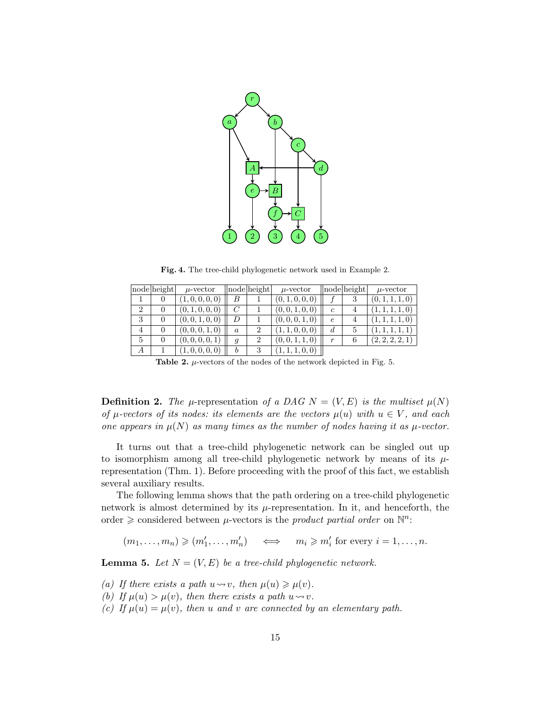

Fig. 4. The tree-child phylogenetic network used in Example 2.

|                | nodelheight | $\mu$ -vector   |                  | nodelheight    | $\mu$ -vector   |                  | node height | $\mu$ -vector   |
|----------------|-------------|-----------------|------------------|----------------|-----------------|------------------|-------------|-----------------|
|                |             | (1,0,0,0,0)     | B                |                | (0, 1, 0, 0, 0) |                  | 3           | (0, 1, 1, 1, 0) |
| $\overline{2}$ |             | (0, 1, 0, 0, 0) | $\mathcal{C}$    |                | (0, 0, 1, 0, 0) | $\mathfrak{c}$   | 4           | (1, 1, 1, 1, 0) |
| 3              |             | (0, 0, 1, 0, 0) | D                |                | (0, 0, 0, 1, 0) | $\epsilon$       |             | (1, 1, 1, 1, 0) |
| $\overline{4}$ |             | (0, 0, 0, 1, 0) | $\boldsymbol{a}$ | $\overline{2}$ | (1, 1, 0, 0, 0) | d                | 5           | (1, 1, 1, 1, 1) |
| 5              |             | (0, 0, 0, 0, 1) | 9                | 2              | (0, 0, 1, 1, 0) | $\boldsymbol{r}$ | 6           | (2, 2, 2, 2, 1) |
| А              |             | (1,0,0,0,0)     | b                | 3              | (1, 1, 1, 0, 0) |                  |             |                 |

**Table 2.**  $\mu$ -vectors of the nodes of the network depicted in Fig. 5.

**Definition 2.** The  $\mu$ -representation of a DAG  $N = (V, E)$  is the multiset  $\mu(N)$ of  $\mu$ -vectors of its nodes: its elements are the vectors  $\mu(u)$  with  $u \in V$ , and each one appears in  $\mu(N)$  as many times as the number of nodes having it as  $\mu$ -vector.

It turns out that a tree-child phylogenetic network can be singled out up to isomorphism among all tree-child phylogenetic network by means of its  $\mu$ representation (Thm. 1). Before proceeding with the proof of this fact, we establish several auxiliary results.

The following lemma shows that the path ordering on a tree-child phylogenetic network is almost determined by its  $\mu$ -representation. In it, and henceforth, the order  $\geq$  considered between  $\mu$ -vectors is the *product partial order* on  $\mathbb{N}^n$ :

 $(m_1, \ldots, m_n) \geqslant (m'_1, \ldots, m'_n) \quad \iff \quad m_i \geqslant m'_i \text{ for every } i = 1, \ldots, n.$ 

**Lemma 5.** Let  $N = (V, E)$  be a tree-child phylogenetic network.

- (a) If there exists a path  $u \rightarrow v$ , then  $\mu(u) \geq \mu(v)$ .
- (b) If  $\mu(u) > \mu(v)$ , then there exists a path  $u \rightarrow v$ .
- (c) If  $\mu(u) = \mu(v)$ , then u and v are connected by an elementary path.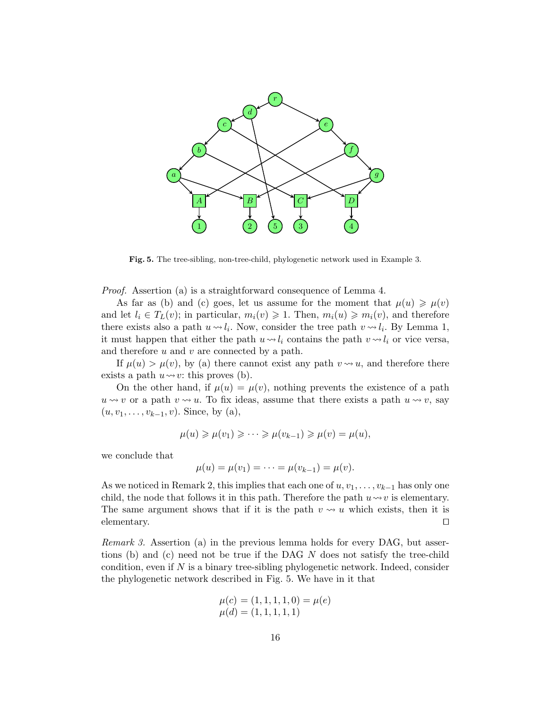

Fig. 5. The tree-sibling, non-tree-child, phylogenetic network used in Example 3.

Proof. Assertion (a) is a straightforward consequence of Lemma 4.

As far as (b) and (c) goes, let us assume for the moment that  $\mu(u) \geq \mu(v)$ and let  $l_i \in T_L(v)$ ; in particular,  $m_i(v) \geqslant 1$ . Then,  $m_i(u) \geqslant m_i(v)$ , and therefore there exists also a path  $u \sim l_i$ . Now, consider the tree path  $v \sim l_i$ . By Lemma 1, it must happen that either the path  $u \sim l_i$  contains the path  $v \sim l_i$  or vice versa, and therefore  $u$  and  $v$  are connected by a path.

If  $\mu(u) > \mu(v)$ , by (a) there cannot exist any path  $v \rightsquigarrow u$ , and therefore there exists a path  $u \rightarrow v$ : this proves (b).

On the other hand, if  $\mu(u) = \mu(v)$ , nothing prevents the existence of a path  $u \rightsquigarrow v$  or a path  $v \rightsquigarrow u$ . To fix ideas, assume that there exists a path  $u \rightsquigarrow v$ , say  $(u, v_1, \ldots, v_{k-1}, v)$ . Since, by (a),

$$
\mu(u) \geqslant \mu(v_1) \geqslant \cdots \geqslant \mu(v_{k-1}) \geqslant \mu(v) = \mu(u),
$$

we conclude that

$$
\mu(u) = \mu(v_1) = \cdots = \mu(v_{k-1}) = \mu(v).
$$

As we noticed in Remark 2, this implies that each one of  $u, v_1, \ldots, v_{k-1}$  has only one child, the node that follows it in this path. Therefore the path  $u \rightarrow v$  is elementary. The same argument shows that if it is the path  $v \rightarrow u$  which exists, then it is elementary.  $\Box$ 

Remark 3. Assertion (a) in the previous lemma holds for every DAG, but assertions (b) and (c) need not be true if the DAG N does not satisfy the tree-child condition, even if  $N$  is a binary tree-sibling phylogenetic network. Indeed, consider the phylogenetic network described in Fig. 5. We have in it that

$$
\mu(c) = (1, 1, 1, 1, 0) = \mu(e)
$$
  

$$
\mu(d) = (1, 1, 1, 1, 1)
$$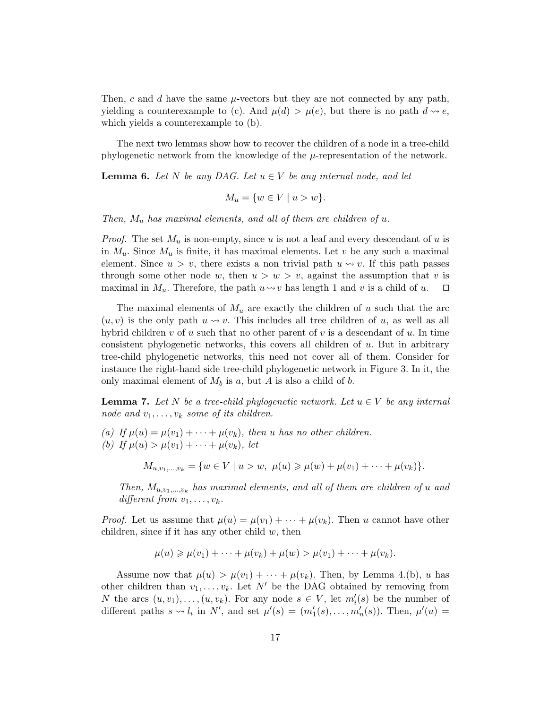Then, c and d have the same  $\mu$ -vectors but they are not connected by any path, yielding a counterexample to (c). And  $\mu(d) > \mu(e)$ , but there is no path  $d \rightsquigarrow e$ , which yields a counterexample to (b).

The next two lemmas show how to recover the children of a node in a tree-child phylogenetic network from the knowledge of the  $\mu$ -representation of the network.

**Lemma 6.** Let N be any DAG. Let  $u \in V$  be any internal node, and let

$$
M_u = \{ w \in V \mid u > w \}.
$$

Then,  $M_u$  has maximal elements, and all of them are children of u.

*Proof.* The set  $M_u$  is non-empty, since u is not a leaf and every descendant of u is in  $M_u$ . Since  $M_u$  is finite, it has maximal elements. Let v be any such a maximal element. Since  $u > v$ , there exists a non trivial path  $u \rightsquigarrow v$ . If this path passes through some other node w, then  $u > w > v$ , against the assumption that v is maximal in  $M_u$ . Therefore, the path  $u \rightsquigarrow v$  has length 1 and v is a child of u.  $\square$ 

The maximal elements of  $M_u$  are exactly the children of u such that the arc  $(u, v)$  is the only path  $u \rightsquigarrow v$ . This includes all tree children of u, as well as all hybrid children v of u such that no other parent of v is a descendant of u. In time consistent phylogenetic networks, this covers all children of  $u$ . But in arbitrary tree-child phylogenetic networks, this need not cover all of them. Consider for instance the right-hand side tree-child phylogenetic network in Figure 3. In it, the only maximal element of  $M_b$  is a, but A is also a child of b.

**Lemma 7.** Let N be a tree-child phylogenetic network. Let  $u \in V$  be any internal node and  $v_1, \ldots, v_k$  some of its children.

(a) If  $\mu(u) = \mu(v_1) + \cdots + \mu(v_k)$ , then u has no other children. (b) If  $\mu(u) > \mu(v_1) + \cdots + \mu(v_k)$ , let

 $M_{u,v_1,...,v_k} = \{w \in V \mid u > w, \ \mu(u) \geqslant \mu(w) + \mu(v_1) + \cdots + \mu(v_k)\}.$ 

Then,  $M_{u,v_1,...,v_k}$  has maximal elements, and all of them are children of u and different from  $v_1, \ldots, v_k$ .

*Proof.* Let us assume that  $\mu(u) = \mu(v_1) + \cdots + \mu(v_k)$ . Then u cannot have other children, since if it has any other child  $w$ , then

$$
\mu(u) \geq \mu(v_1) + \dots + \mu(v_k) + \mu(w) > \mu(v_1) + \dots + \mu(v_k).
$$

Assume now that  $\mu(u) > \mu(v_1) + \cdots + \mu(v_k)$ . Then, by Lemma 4.(b), u has other children than  $v_1, \ldots, v_k$ . Let N' be the DAG obtained by removing from N the arcs  $(u, v_1), \ldots, (u, v_k)$ . For any node  $s \in V$ , let  $m'_i(s)$  be the number of different paths  $s \rightsquigarrow l_i$  in N', and set  $\mu'(s) = (m'_1(s), \ldots, m'_n(s))$ . Then,  $\mu'(u) =$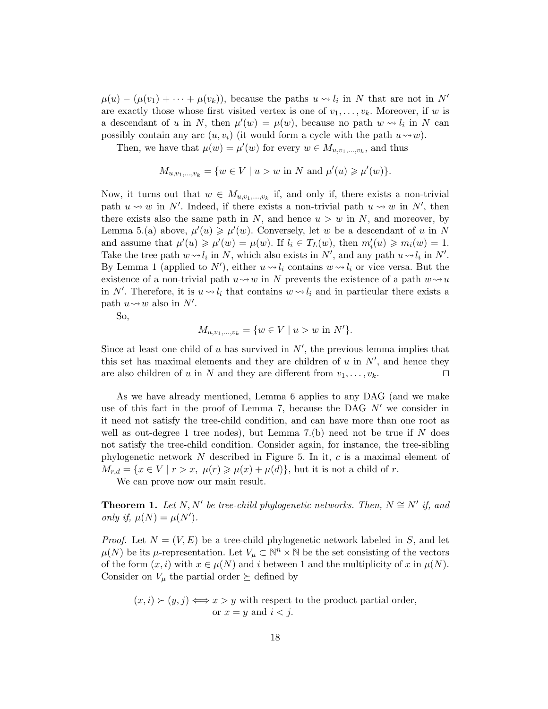$\mu(u) - (\mu(v_1) + \cdots + \mu(v_k)),$  because the paths  $u \leadsto l_i$  in N that are not in N' are exactly those whose first visited vertex is one of  $v_1, \ldots, v_k$ . Moreover, if w is a descendant of u in N, then  $\mu'(w) = \mu(w)$ , because no path  $w \rightsquigarrow l_i$  in N can possibly contain any arc  $(u, v_i)$  (it would form a cycle with the path  $u \rightarrow w$ ).

Then, we have that  $\mu(w) = \mu'(w)$  for every  $w \in M_{u,v_1,\dots,v_k}$ , and thus

$$
M_{u,v_1,...,v_k} = \{w \in V \mid u > w \text{ in } N \text{ and } \mu'(u) \geq \mu'(w)\}.
$$

Now, it turns out that  $w \in M_{u,v_1,\dots,v_k}$  if, and only if, there exists a non-trivial path  $u \rightsquigarrow w$  in N'. Indeed, if there exists a non-trivial path  $u \rightsquigarrow w$  in N', then there exists also the same path in N, and hence  $u > w$  in N, and moreover, by Lemma 5.(a) above,  $\mu'(u) \ge \mu'(w)$ . Conversely, let w be a descendant of u in N and assume that  $\mu'(u) \geq \mu'(w) = \mu(w)$ . If  $l_i \in T_L(w)$ , then  $m'_i(u) \geq m_i(w) = 1$ . Take the tree path  $w \sim l_i$  in N, which also exists in N', and any path  $u \sim l_i$  in N'. By Lemma 1 (applied to  $N'$ ), either  $u \sim l_i$  contains  $w \sim l_i$  or vice versa. But the existence of a non-trivial path  $u \rightarrow w$  in N prevents the existence of a path  $w \rightarrow u$ in N'. Therefore, it is  $u \sim l_i$  that contains  $w \sim l_i$  and in particular there exists a path  $u \rightsquigarrow w$  also in N'.

So,

$$
M_{u,v_1,...,v_k} = \{ w \in V \mid u > w \text{ in } N' \}.
$$

Since at least one child of  $u$  has survived in  $N'$ , the previous lemma implies that this set has maximal elements and they are children of  $u$  in  $N'$ , and hence they are also children of u in N and they are different from  $v_1, \ldots, v_k$ .

As we have already mentioned, Lemma 6 applies to any DAG (and we make use of this fact in the proof of Lemma 7, because the DAG  $N'$  we consider in it need not satisfy the tree-child condition, and can have more than one root as well as out-degree 1 tree nodes), but Lemma  $7.(b)$  need not be true if N does not satisfy the tree-child condition. Consider again, for instance, the tree-sibling phylogenetic network N described in Figure 5. In it, c is a maximal element of  $M_{r,d} = \{x \in V \mid r > x, \ \mu(r) \geq \mu(x) + \mu(d)\},$  but it is not a child of r.

We can prove now our main result.

**Theorem 1.** Let N, N' be tree-child phylogenetic networks. Then,  $N \cong N'$  if, and only if,  $\mu(N) = \mu(N')$ .

*Proof.* Let  $N = (V, E)$  be a tree-child phylogenetic network labeled in S, and let  $\mu(N)$  be its  $\mu$ -representation. Let  $V_{\mu} \subset \mathbb{N}^n \times \mathbb{N}$  be the set consisting of the vectors of the form  $(x, i)$  with  $x \in \mu(N)$  and i between 1 and the multiplicity of x in  $\mu(N)$ . Consider on  $V_\mu$  the partial order  $\succeq$  defined by

$$
(x, i) \succ (y, j) \Longleftrightarrow x > y
$$
 with respect to the product partial order,  
or  $x = y$  and  $i < j$ .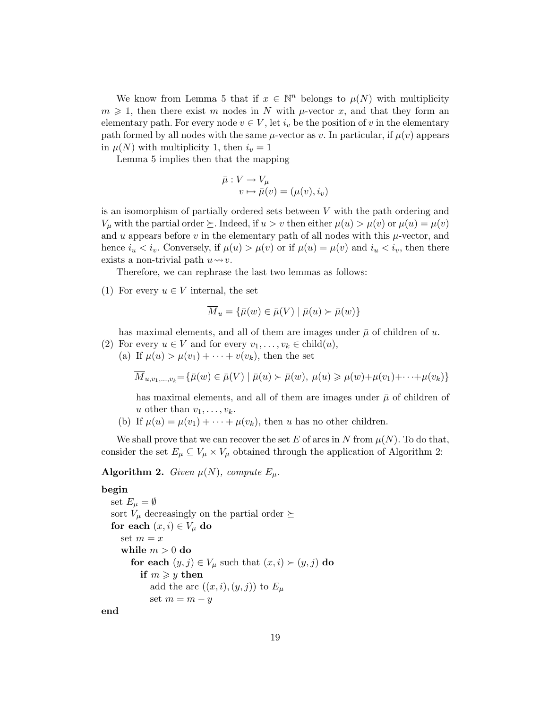We know from Lemma 5 that if  $x \in \mathbb{N}^n$  belongs to  $\mu(N)$  with multiplicity  $m \geq 1$ , then there exist m nodes in N with  $\mu$ -vector x, and that they form an elementary path. For every node  $v \in V$ , let  $i_v$  be the position of v in the elementary path formed by all nodes with the same  $\mu$ -vector as v. In particular, if  $\mu(v)$  appears in  $\mu(N)$  with multiplicity 1, then  $i_v = 1$ 

Lemma 5 implies then that the mapping

$$
\bar{\mu}: V \to V_{\mu}
$$

$$
v \mapsto \bar{\mu}(v) = (\mu(v), i_v)
$$

is an isomorphism of partially ordered sets between V with the path ordering and  $V_\mu$  with the partial order  $\succeq$ . Indeed, if  $u > v$  then either  $\mu(u) > \mu(v)$  or  $\mu(u) = \mu(v)$ and u appears before v in the elementary path of all nodes with this  $\mu$ -vector, and hence  $i_u < i_v$ . Conversely, if  $\mu(u) > \mu(v)$  or if  $\mu(u) = \mu(v)$  and  $i_u < i_v$ , then there exists a non-trivial path  $u \rightarrow v$ .

Therefore, we can rephrase the last two lemmas as follows:

(1) For every  $u \in V$  internal, the set

$$
\overline{M}_u = \{ \overline{\mu}(w) \in \overline{\mu}(V) \mid \overline{\mu}(u) \succ \overline{\mu}(w) \}
$$

has maximal elements, and all of them are images under  $\bar{\mu}$  of children of u.

- (2) For every  $u \in V$  and for every  $v_1, \ldots, v_k \in \text{child}(u)$ ,
	- (a) If  $\mu(u) > \mu(v_1) + \cdots + v(v_k)$ , then the set

$$
\overline{M}_{u,v_1,\dots,v_k} = \{ \overline{\mu}(w) \in \overline{\mu}(V) \mid \overline{\mu}(u) \succ \overline{\mu}(w), \mu(u) \geq \mu(w) + \mu(v_1) + \dots + \mu(v_k) \}
$$

has maximal elements, and all of them are images under  $\bar{\mu}$  of children of u other than  $v_1, \ldots, v_k$ .

(b) If  $\mu(u) = \mu(v_1) + \cdots + \mu(v_k)$ , then u has no other children.

We shall prove that we can recover the set E of arcs in N from  $\mu(N)$ . To do that, consider the set  $E_{\mu} \subseteq V_{\mu} \times V_{\mu}$  obtained through the application of Algorithm 2:

# **Algorithm 2.** Given  $\mu(N)$ , compute  $E_{\mu}$ .

# begin

```
set E_{\mu} = \emptysetsort V_\mu decreasingly on the partial order \succeqfor each (x, i) \in V_\mu do
set m = xwhile m > 0 do
   for each (y, j) \in V_\mu such that (x, i) \succ (y, j) do
      if m \geq y then
        add the arc ((x, i), (y, j)) to E_\muset m = m - y
```
end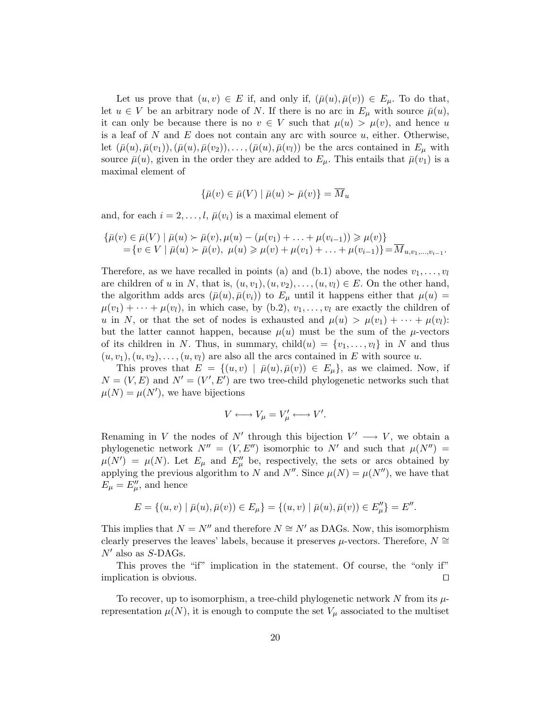Let us prove that  $(u, v) \in E$  if, and only if,  $(\bar{\mu}(u), \bar{\mu}(v)) \in E_{\mu}$ . To do that, let  $u \in V$  be an arbitrary node of N. If there is no arc in  $E_{\mu}$  with source  $\bar{\mu}(u)$ , it can only be because there is no  $v \in V$  such that  $\mu(u) > \mu(v)$ , and hence u is a leaf of N and E does not contain any arc with source  $u$ , either. Otherwise, let  $(\bar{\mu}(u), \bar{\mu}(v_1)),(\bar{\mu}(u), \bar{\mu}(v_2)), \ldots,(\bar{\mu}(u), \bar{\mu}(v_l))$  be the arcs contained in  $E_{\mu}$  with source  $\bar{\mu}(u)$ , given in the order they are added to  $E_{\mu}$ . This entails that  $\bar{\mu}(v_1)$  is a maximal element of

$$
\{\bar{\mu}(v) \in \bar{\mu}(V) \mid \bar{\mu}(u) \succ \bar{\mu}(v)\} = \overline{M}_u
$$

and, for each  $i = 2, \ldots, l$ ,  $\bar{\mu}(v_i)$  is a maximal element of

$$
\{\bar{\mu}(v) \in \bar{\mu}(V) \mid \bar{\mu}(u) \succ \bar{\mu}(v), \mu(u) - (\mu(v_1) + \ldots + \mu(v_{i-1})) \ge \mu(v)\}
$$
  
=  $\{v \in V \mid \bar{\mu}(u) \succ \bar{\mu}(v), \mu(u) \ge \mu(v) + \mu(v_1) + \ldots + \mu(v_{i-1})\} = \overline{M}_{u, v_1, \ldots, v_{i-1}}.$ 

Therefore, as we have recalled in points (a) and (b.1) above, the nodes  $v_1, \ldots, v_l$ are children of u in N, that is,  $(u, v_1), (u, v_2), \ldots, (u, v_l) \in E$ . On the other hand, the algorithm adds arcs  $(\bar{\mu}(u), \bar{\mu}(v_i))$  to  $E_\mu$  until it happens either that  $\mu(u) =$  $\mu(v_1) + \cdots + \mu(v_l)$ , in which case, by (b.2),  $v_1, \ldots, v_l$  are exactly the children of u in N, or that the set of nodes is exhausted and  $\mu(u) > \mu(v_1) + \cdots + \mu(v_l)$ : but the latter cannot happen, because  $\mu(u)$  must be the sum of the  $\mu$ -vectors of its children in N. Thus, in summary,  $child(u) = \{v_1, \ldots, v_l\}$  in N and thus  $(u, v_1), (u, v_2), \ldots, (u, v_l)$  are also all the arcs contained in E with source u.

This proves that  $E = \{(u, v) | \bar{\mu}(u), \bar{\mu}(v) \in E_{\mu}\}\)$ , as we claimed. Now, if  $N = (V, E)$  and  $N' = (V', E')$  are two tree-child phylogenetic networks such that  $\mu(N) = \mu(N')$ , we have bijections

$$
V \longleftrightarrow V_{\mu} = V'_{\mu} \longleftrightarrow V'.
$$

Renaming in V the nodes of N' through this bijection  $V' \longrightarrow V$ , we obtain a phylogenetic network  $N'' = (V, E'')$  isomorphic to N' and such that  $\mu(N'') =$  $\mu(N') = \mu(N)$ . Let  $E_{\mu}$  and  $E_{\mu}''$  be, respectively, the sets or arcs obtained by applying the previous algorithm to N and N''. Since  $\mu(N) = \mu(N'')$ , we have that  $E_{\mu} = E_{\mu}^{\prime\prime}$ , and hence

$$
E = \{(u, v) \mid \bar{\mu}(u), \bar{\mu}(v)) \in E_{\mu}\} = \{(u, v) \mid \bar{\mu}(u), \bar{\mu}(v)) \in E''_{\mu}\} = E''.
$$

This implies that  $N = N''$  and therefore  $N \cong N'$  as DAGs. Now, this isomorphism clearly preserves the leaves' labels, because it preserves  $\mu$ -vectors. Therefore,  $N \cong$  $N'$  also as S-DAGs.

This proves the "if" implication in the statement. Of course, the "only if" implication is obvious.  $\Box$ 

To recover, up to isomorphism, a tree-child phylogenetic network  $N$  from its  $\mu$ representation  $\mu(N)$ , it is enough to compute the set  $V_{\mu}$  associated to the multiset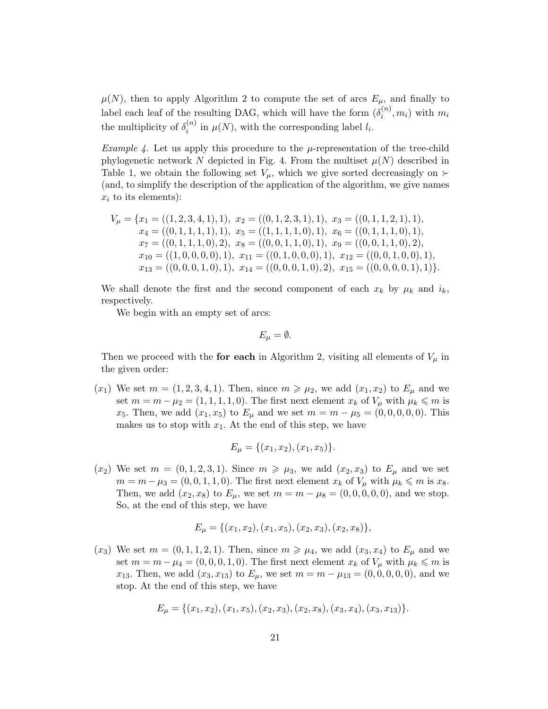$\mu(N)$ , then to apply Algorithm 2 to compute the set of arcs  $E_{\mu}$ , and finally to label each leaf of the resulting DAG, which will have the form  $(\delta_i^{(n)})$  $\binom{n}{i}$ ,  $m_i$ ) with  $m_i$ the multiplicity of  $\delta_i^{(n)}$  $i_i^{(n)}$  in  $\mu(N)$ , with the corresponding label  $l_i$ .

*Example 4.* Let us apply this procedure to the  $\mu$ -representation of the tree-child phylogenetic network N depicted in Fig. 4. From the multiset  $\mu(N)$  described in Table 1, we obtain the following set  $V_\mu$ , which we give sorted decreasingly on  $\succ$ (and, to simplify the description of the application of the algorithm, we give names  $x_i$  to its elements):

$$
V_{\mu} = \{x_1 = ((1, 2, 3, 4, 1), 1), x_2 = ((0, 1, 2, 3, 1), 1), x_3 = ((0, 1, 1, 2, 1), 1),x_4 = ((0, 1, 1, 1, 1), 1), x_5 = ((1, 1, 1, 1, 0), 1), x_6 = ((0, 1, 1, 1, 0), 1),x_7 = ((0, 1, 1, 1, 0), 2), x_8 = ((0, 0, 1, 1, 0), 1), x_9 = ((0, 0, 1, 1, 0), 2),x_{10} = ((1, 0, 0, 0, 0), 1), x_{11} = ((0, 1, 0, 0, 0), 1), x_{12} = ((0, 0, 1, 0, 0), 1),x_{13} = ((0, 0, 0, 1, 0), 1), x_{14} = ((0, 0, 0, 1, 0), 2), x_{15} = ((0, 0, 0, 0, 1), 1)\}.
$$

We shall denote the first and the second component of each  $x_k$  by  $\mu_k$  and  $i_k$ , respectively.

We begin with an empty set of arcs:

 $E_{\mu} = \emptyset.$ 

Then we proceed with the **for each** in Algorithm 2, visiting all elements of  $V_\mu$  in the given order:

 $(x_1)$  We set  $m = (1, 2, 3, 4, 1)$ . Then, since  $m \geq \mu_2$ , we add  $(x_1, x_2)$  to  $E_\mu$  and we set  $m = m - \mu_2 = (1, 1, 1, 1, 0)$ . The first next element  $x_k$  of  $V_\mu$  with  $\mu_k \leq m$  is x<sub>5</sub>. Then, we add  $(x_1, x_5)$  to  $E_{\mu}$  and we set  $m = m - \mu_5 = (0, 0, 0, 0, 0)$ . This makes us to stop with  $x_1$ . At the end of this step, we have

$$
E_{\mu} = \{(x_1, x_2), (x_1, x_5)\}.
$$

 $(x_2)$  We set  $m = (0, 1, 2, 3, 1)$ . Since  $m \geq \mu_3$ , we add  $(x_2, x_3)$  to  $E_\mu$  and we set  $m = m - \mu_3 = (0, 0, 1, 1, 0)$ . The first next element  $x_k$  of  $V_\mu$  with  $\mu_k \leq m$  is  $x_8$ . Then, we add  $(x_2, x_8)$  to  $E_{\mu}$ , we set  $m = m - \mu_8 = (0, 0, 0, 0, 0)$ , and we stop. So, at the end of this step, we have

$$
E_{\mu} = \{ (x_1, x_2), (x_1, x_5), (x_2, x_3), (x_2, x_8) \},\
$$

 $(x_3)$  We set  $m = (0, 1, 1, 2, 1)$ . Then, since  $m \geq \mu_4$ , we add  $(x_3, x_4)$  to  $E_\mu$  and we set  $m = m - \mu_4 = (0, 0, 0, 1, 0)$ . The first next element  $x_k$  of  $V_\mu$  with  $\mu_k \leq m$  is x<sub>13</sub>. Then, we add  $(x_3, x_{13})$  to  $E_\mu$ , we set  $m = m - \mu_{13} = (0, 0, 0, 0, 0)$ , and we stop. At the end of this step, we have

$$
E_{\mu} = \{ (x_1, x_2), (x_1, x_5), (x_2, x_3), (x_2, x_8), (x_3, x_4), (x_3, x_{13}) \}.
$$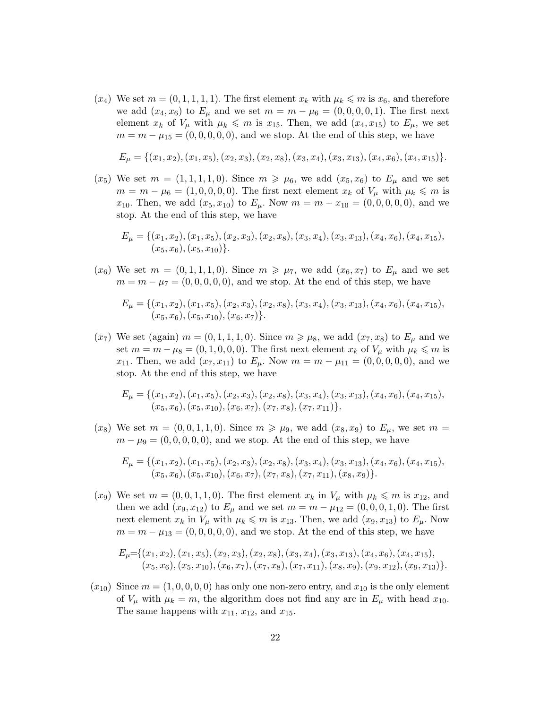$(x_4)$  We set  $m = (0, 1, 1, 1, 1)$ . The first element  $x_k$  with  $\mu_k \leq m$  is  $x_6$ , and therefore we add  $(x_4, x_6)$  to  $E_{\mu}$  and we set  $m = m - \mu_6 = (0, 0, 0, 0, 1)$ . The first next element  $x_k$  of  $V_\mu$  with  $\mu_k \leq m$  is  $x_{15}$ . Then, we add  $(x_4, x_{15})$  to  $E_\mu$ , we set  $m = m - \mu_{15} = (0, 0, 0, 0, 0)$ , and we stop. At the end of this step, we have

$$
E_{\mu} = \{ (x_1, x_2), (x_1, x_5), (x_2, x_3), (x_2, x_8), (x_3, x_4), (x_3, x_{13}), (x_4, x_6), (x_4, x_{15}) \}.
$$

 $(x_5)$  We set  $m = (1, 1, 1, 1, 0)$ . Since  $m \geq \mu_6$ , we add  $(x_5, x_6)$  to  $E_\mu$  and we set  $m = m - \mu_6 = (1, 0, 0, 0, 0)$ . The first next element  $x_k$  of  $V_\mu$  with  $\mu_k \leqslant m$  is x<sub>10</sub>. Then, we add  $(x_5, x_{10})$  to  $E_\mu$ . Now  $m = m - x_{10} = (0, 0, 0, 0, 0)$ , and we stop. At the end of this step, we have

$$
E_{\mu} = \{ (x_1, x_2), (x_1, x_5), (x_2, x_3), (x_2, x_8), (x_3, x_4), (x_3, x_{13}), (x_4, x_6), (x_4, x_{15}), (x_5, x_6), (x_5, x_{10}) \}.
$$

 $(x_6)$  We set  $m = (0, 1, 1, 1, 0)$ . Since  $m \geq \mu_7$ , we add  $(x_6, x_7)$  to  $E_\mu$  and we set  $m = m - \mu_7 = (0, 0, 0, 0, 0)$ , and we stop. At the end of this step, we have

$$
E_{\mu} = \{ (x_1, x_2), (x_1, x_5), (x_2, x_3), (x_2, x_8), (x_3, x_4), (x_3, x_{13}), (x_4, x_6), (x_4, x_{15}), (x_5, x_6), (x_5, x_{10}), (x_6, x_7) \}.
$$

 $(x_7)$  We set (again)  $m = (0, 1, 1, 1, 0)$ . Since  $m \ge \mu_8$ , we add  $(x_7, x_8)$  to  $E_\mu$  and we set  $m = m - \mu_8 = (0, 1, 0, 0, 0)$ . The first next element  $x_k$  of  $V_\mu$  with  $\mu_k \leqslant m$  is x<sub>11</sub>. Then, we add  $(x_7, x_{11})$  to  $E_\mu$ . Now  $m = m - \mu_{11} = (0, 0, 0, 0, 0)$ , and we stop. At the end of this step, we have

$$
E_{\mu} = \{ (x_1, x_2), (x_1, x_5), (x_2, x_3), (x_2, x_8), (x_3, x_4), (x_3, x_{13}), (x_4, x_6), (x_4, x_{15}), (x_5, x_6), (x_5, x_{10}), (x_6, x_7), (x_7, x_8), (x_7, x_{11}) \}.
$$

 $(x_8)$  We set  $m = (0, 0, 1, 1, 0)$ . Since  $m \geq \mu_9$ , we add  $(x_8, x_9)$  to  $E_\mu$ , we set  $m =$  $m - \mu_9 = (0, 0, 0, 0, 0)$ , and we stop. At the end of this step, we have

$$
E_{\mu} = \{ (x_1, x_2), (x_1, x_5), (x_2, x_3), (x_2, x_8), (x_3, x_4), (x_3, x_{13}), (x_4, x_6), (x_4, x_{15}), (x_5, x_6), (x_5, x_{10}), (x_6, x_7), (x_7, x_8), (x_7, x_{11}), (x_8, x_9) \}.
$$

 $(x_9)$  We set  $m = (0, 0, 1, 1, 0)$ . The first element  $x_k$  in  $V_\mu$  with  $\mu_k \leq m$  is  $x_{12}$ , and then we add  $(x_9, x_{12})$  to  $E_{\mu}$  and we set  $m = m - \mu_{12} = (0, 0, 0, 1, 0)$ . The first next element  $x_k$  in  $V_\mu$  with  $\mu_k \leqslant m$  is  $x_{13}$ . Then, we add  $(x_9, x_{13})$  to  $E_\mu$ . Now  $m = m - \mu_{13} = (0, 0, 0, 0, 0)$ , and we stop. At the end of this step, we have

$$
E_{\mu} = \{(x_1, x_2), (x_1, x_5), (x_2, x_3), (x_2, x_8), (x_3, x_4), (x_3, x_{13}), (x_4, x_6), (x_4, x_{15}), (x_5, x_6), (x_5, x_{10}), (x_6, x_7), (x_7, x_8), (x_7, x_{11}), (x_8, x_9), (x_9, x_{12}), (x_9, x_{13})\}.
$$

 $(x_{10})$  Since  $m = (1, 0, 0, 0, 0)$  has only one non-zero entry, and  $x_{10}$  is the only element of  $V_{\mu}$  with  $\mu_k = m$ , the algorithm does not find any arc in  $E_{\mu}$  with head  $x_{10}$ . The same happens with  $x_{11}$ ,  $x_{12}$ , and  $x_{15}$ .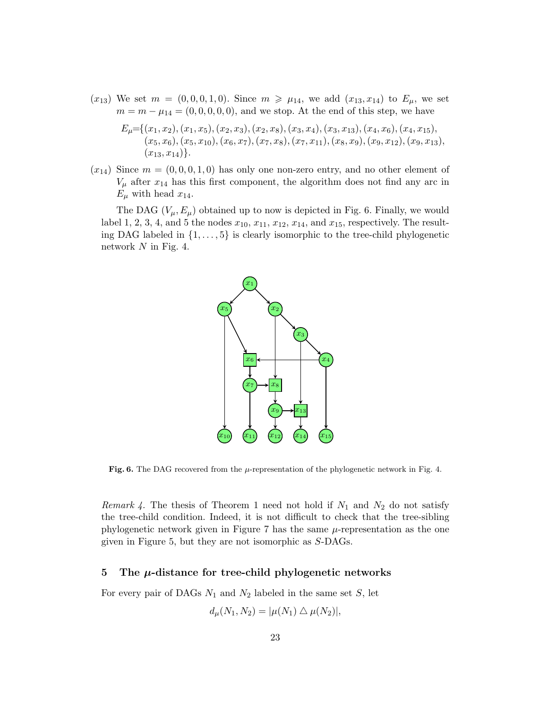$(x_{13})$  We set  $m = (0, 0, 0, 1, 0)$ . Since  $m \ge \mu_{14}$ , we add  $(x_{13}, x_{14})$  to  $E_{\mu}$ , we set  $m = m - \mu_{14} = (0, 0, 0, 0, 0)$ , and we stop. At the end of this step, we have

$$
E_{\mu} = \{(x_1, x_2), (x_1, x_5), (x_2, x_3), (x_2, x_8), (x_3, x_4), (x_3, x_{13}), (x_4, x_6), (x_4, x_{15}), (x_5, x_6), (x_5, x_{10}), (x_6, x_7), (x_7, x_8), (x_7, x_{11}), (x_8, x_9), (x_9, x_{12}), (x_9, x_{13}), (x_{13}, x_{14})\}.
$$

 $(x_{14})$  Since  $m = (0, 0, 0, 1, 0)$  has only one non-zero entry, and no other element of  $V_{\mu}$  after  $x_{14}$  has this first component, the algorithm does not find any arc in  $E_{\mu}$  with head  $x_{14}$ .

The DAG  $(V_{\mu}, E_{\mu})$  obtained up to now is depicted in Fig. 6. Finally, we would label 1, 2, 3, 4, and 5 the nodes  $x_{10}$ ,  $x_{11}$ ,  $x_{12}$ ,  $x_{14}$ , and  $x_{15}$ , respectively. The resulting DAG labeled in  $\{1, \ldots, 5\}$  is clearly isomorphic to the tree-child phylogenetic network N in Fig. 4.



Fig. 6. The DAG recovered from the  $\mu$ -representation of the phylogenetic network in Fig. 4.

*Remark 4.* The thesis of Theorem 1 need not hold if  $N_1$  and  $N_2$  do not satisfy the tree-child condition. Indeed, it is not difficult to check that the tree-sibling phylogenetic network given in Figure 7 has the same  $\mu$ -representation as the one given in Figure 5, but they are not isomorphic as S-DAGs.

#### 5 The  $\mu$ -distance for tree-child phylogenetic networks

For every pair of DAGs  $N_1$  and  $N_2$  labeled in the same set S, let

$$
d_{\mu}(N_1, N_2) = |\mu(N_1) \bigtriangleup \mu(N_2)|,
$$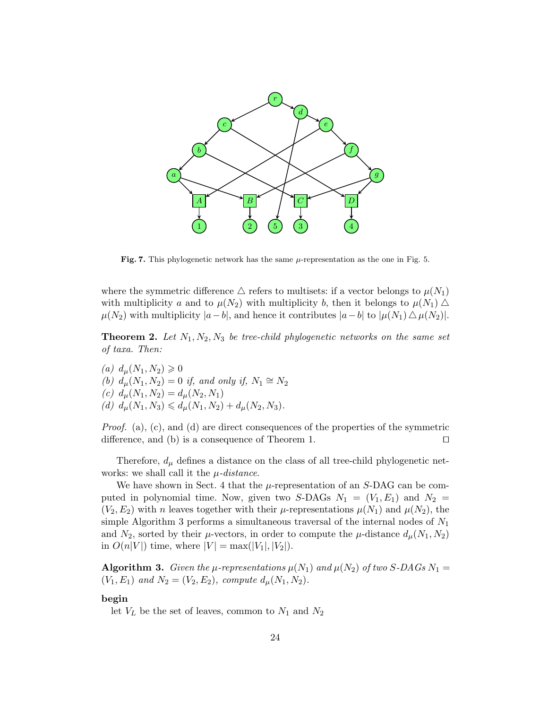

**Fig. 7.** This phylogenetic network has the same  $\mu$ -representation as the one in Fig. 5.

where the symmetric difference  $\triangle$  refers to multisets: if a vector belongs to  $\mu(N_1)$ with multiplicity a and to  $\mu(N_2)$  with multiplicity b, then it belongs to  $\mu(N_1)$   $\Delta$  $\mu(N_2)$  with multiplicity  $|a-b|$ , and hence it contributes  $|a-b|$  to  $|\mu(N_1) \Delta \mu(N_2)|$ .

**Theorem 2.** Let  $N_1, N_2, N_3$  be tree-child phylogenetic networks on the same set of taxa. Then:

(a)  $d_{\mu}(N_1, N_2) \geq 0$ (b)  $d_{\mu}(N_1, N_2) = 0$  if, and only if,  $N_1 \cong N_2$ (c)  $d_{\mu}(N_1, N_2) = d_{\mu}(N_2, N_1)$ (d)  $d_{\mu}(N_1, N_3) \leq d_{\mu}(N_1, N_2) + d_{\mu}(N_2, N_3).$ 

*Proof.* (a), (c), and (d) are direct consequences of the properties of the symmetric difference, and (b) is a consequence of Theorem 1.  $\Box$ 

Therefore,  $d_{\mu}$  defines a distance on the class of all tree-child phylogenetic networks: we shall call it the  $\mu$ -distance.

We have shown in Sect. 4 that the  $\mu$ -representation of an S-DAG can be computed in polynomial time. Now, given two S-DAGs  $N_1 = (V_1, E_1)$  and  $N_2 =$  $(V_2, E_2)$  with n leaves together with their  $\mu$ -representations  $\mu(N_1)$  and  $\mu(N_2)$ , the simple Algorithm 3 performs a simultaneous traversal of the internal nodes of  $N_1$ and  $N_2$ , sorted by their  $\mu$ -vectors, in order to compute the  $\mu$ -distance  $d_{\mu}(N_1, N_2)$ in  $O(n|V|)$  time, where  $|V| = \max(|V_1|, |V_2|)$ .

**Algorithm 3.** Given the  $\mu$ -representations  $\mu(N_1)$  and  $\mu(N_2)$  of two S-DAGs  $N_1 =$  $(V_1, E_1)$  and  $N_2 = (V_2, E_2)$ , compute  $d_{\mu}(N_1, N_2)$ .

#### begin

let  $V_L$  be the set of leaves, common to  $N_1$  and  $N_2$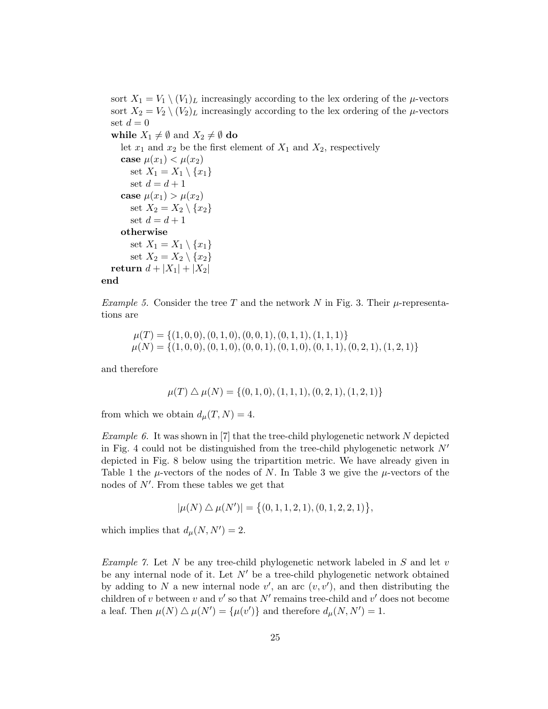sort  $X_1 = V_1 \setminus (V_1)_L$  increasingly according to the lex ordering of the  $\mu$ -vectors sort  $X_2 = V_2 \setminus (V_2)_L$  increasingly according to the lex ordering of the  $\mu$ -vectors set  $d = 0$ 

while  $X_1 \neq \emptyset$  and  $X_2 \neq \emptyset$  do

let  $x_1$  and  $x_2$  be the first element of  $X_1$  and  $X_2$ , respectively

case  $\mu(x_1) < \mu(x_2)$ set  $X_1 = X_1 \setminus \{x_1\}$ set  $d = d + 1$ case  $\mu(x_1) > \mu(x_2)$ set  $X_2 = X_2 \setminus \{x_2\}$ set  $d = d + 1$ otherwise set  $X_1 = X_1 \setminus \{x_1\}$ set  $X_2 = X_2 \setminus \{x_2\}$ return  $d + |X_1| + |X_2|$ 

#### end

Example 5. Consider the tree T and the network N in Fig. 3. Their  $\mu$ -representations are

 $\mu(T) = \{(1, 0, 0), (0, 1, 0), (0, 0, 1), (0, 1, 1), (1, 1, 1)\}\$  $\mu(N) = \{(1, 0, 0), (0, 1, 0), (0, 0, 1), (0, 1, 0), (0, 1, 1), (0, 2, 1), (1, 2, 1)\}\$ 

and therefore

$$
\mu(T) \bigtriangleup \mu(N) = \{ (0, 1, 0), (1, 1, 1), (0, 2, 1), (1, 2, 1) \}
$$

from which we obtain  $d_{\mu}(T, N) = 4$ .

*Example 6.* It was shown in [7] that the tree-child phylogenetic network N depicted in Fig. 4 could not be distinguished from the tree-child phylogenetic network  $N'$ depicted in Fig. 8 below using the tripartition metric. We have already given in Table 1 the  $\mu$ -vectors of the nodes of N. In Table 3 we give the  $\mu$ -vectors of the nodes of  $N'$ . From these tables we get that

$$
|\mu(N) \bigtriangleup \mu(N')| = \big\{ (0, 1, 1, 2, 1), (0, 1, 2, 2, 1) \big\},\
$$

which implies that  $d_{\mu}(N, N') = 2$ .

*Example 7.* Let N be any tree-child phylogenetic network labeled in S and let  $v$ be any internal node of it. Let  $N'$  be a tree-child phylogenetic network obtained by adding to N a new internal node  $v'$ , an arc  $(v, v')$ , and then distributing the children of v between v and v' so that  $N'$  remains tree-child and v' does not become a leaf. Then  $\mu(N) \triangle \mu(N') = {\mu(v')}$  and therefore  $d_{\mu}(N, N') = 1$ .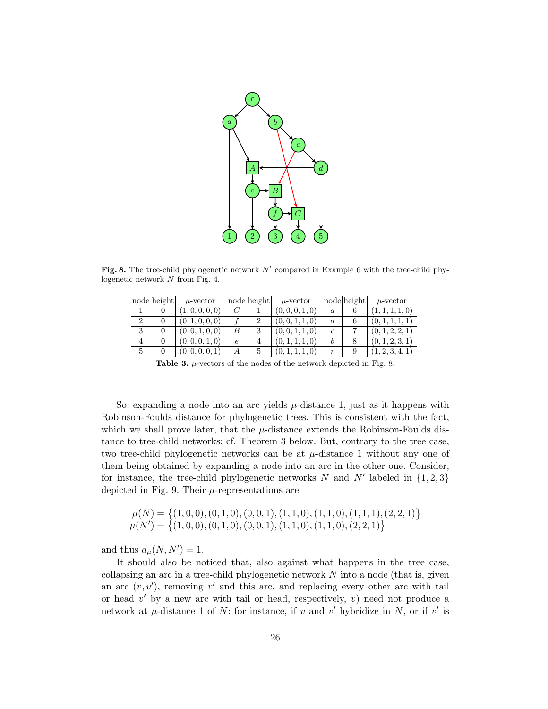

Fig. 8. The tree-child phylogenetic network  $N'$  compared in Example 6 with the tree-child phylogenetic network N from Fig. 4.

|    | node height | $\mu$ -vector            |            | node height | $\mu$ -vector   |                  | node height | $\mu$ -vector   |
|----|-------------|--------------------------|------------|-------------|-----------------|------------------|-------------|-----------------|
|    |             | (1, 0, 0, 0, 0)          |            |             | (0,0,0,1,0)     | $\boldsymbol{a}$ |             | 1, 1, 0)        |
|    |             | (0, 1, 0, 0, 0)          |            |             | (0, 0, 1, 1, 0) | d                | b           | (0, 1,          |
| IJ |             | (0,0,1,0,0)              |            |             | (0, 0, 1, 1, 0) | c                |             | (0, 1, 2, 2, 1) |
|    |             | $\left(0,0,0,1,0\right)$ | $\epsilon$ |             | (0, 1, 1, 1, 0) | b                | 8           | (0, 1, 2, 3, 1) |
| 5  |             | (0,0,0,0,1)              | А          |             | (0, 1, 1, 1, 0) | $\boldsymbol{r}$ |             | 1, 2, 3, 4, 1)  |

Table 3.  $\mu$ -vectors of the nodes of the network depicted in Fig. 8.

So, expanding a node into an arc yields  $\mu$ -distance 1, just as it happens with Robinson-Foulds distance for phylogenetic trees. This is consistent with the fact, which we shall prove later, that the  $\mu$ -distance extends the Robinson-Foulds distance to tree-child networks: cf. Theorem 3 below. But, contrary to the tree case, two tree-child phylogenetic networks can be at  $\mu$ -distance 1 without any one of them being obtained by expanding a node into an arc in the other one. Consider, for instance, the tree-child phylogenetic networks  $N$  and  $N'$  labeled in  $\{1, 2, 3\}$ depicted in Fig. 9. Their  $\mu$ -representations are

$$
\mu(N) = \{(1,0,0), (0,1,0), (0,0,1), (1,1,0), (1,1,0), (1,1,1), (2,2,1)\}\
$$

$$
\mu(N') = \{(1,0,0), (0,1,0), (0,0,1), (1,1,0), (1,1,0), (2,2,1)\}
$$

and thus  $d_{\mu}(N, N') = 1$ .

It should also be noticed that, also against what happens in the tree case, collapsing an arc in a tree-child phylogenetic network  $N$  into a node (that is, given an arc  $(v, v')$ , removing v' and this arc, and replacing every other arc with tail or head  $v'$  by a new arc with tail or head, respectively,  $v$ ) need not produce a network at  $\mu$ -distance 1 of N: for instance, if v and v' hybridize in N, or if v' is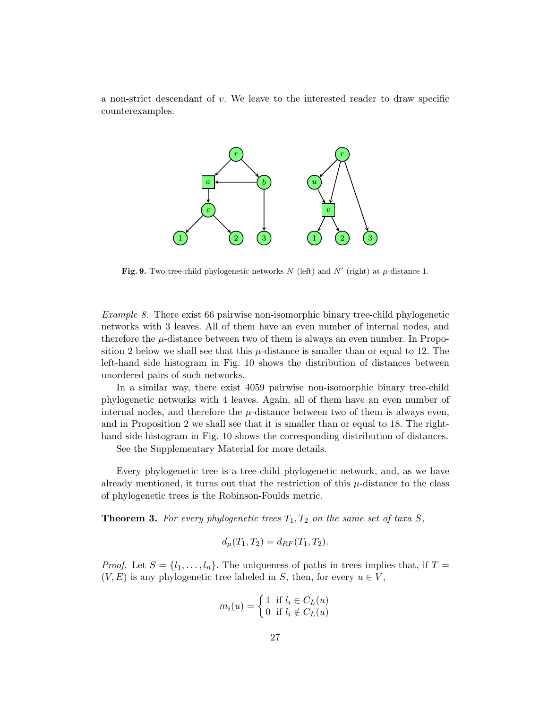a non-strict descendant of  $v$ . We leave to the interested reader to draw specific counterexamples.



Fig. 9. Two tree-child phylogenetic networks N (left) and N' (right) at  $\mu$ -distance 1.

Example 8. There exist 66 pairwise non-isomorphic binary tree-child phylogenetic networks with 3 leaves. All of them have an even number of internal nodes, and therefore the  $\mu$ -distance between two of them is always an even number. In Proposition 2 below we shall see that this  $\mu$ -distance is smaller than or equal to 12. The left-hand side histogram in Fig. 10 shows the distribution of distances between unordered pairs of such networks.

In a similar way, there exist 4059 pairwise non-isomorphic binary tree-child phylogenetic networks with 4 leaves. Again, all of them have an even number of internal nodes, and therefore the  $\mu$ -distance between two of them is always even, and in Proposition 2 we shall see that it is smaller than or equal to 18. The righthand side histogram in Fig. 10 shows the corresponding distribution of distances.

See the Supplementary Material for more details.

Every phylogenetic tree is a tree-child phylogenetic network, and, as we have already mentioned, it turns out that the restriction of this  $\mu$ -distance to the class of phylogenetic trees is the Robinson-Foulds metric.

**Theorem 3.** For every phylogenetic trees  $T_1, T_2$  on the same set of taxa S,

$$
d_{\mu}(T_1, T_2) = d_{RF}(T_1, T_2).
$$

*Proof.* Let  $S = \{l_1, \ldots, l_n\}$ . The uniqueness of paths in trees implies that, if  $T =$  $(V, E)$  is any phylogenetic tree labeled in S, then, for every  $u \in V$ ,

$$
m_i(u) = \begin{cases} 1 & \text{if } l_i \in C_L(u) \\ 0 & \text{if } l_i \notin C_L(u) \end{cases}
$$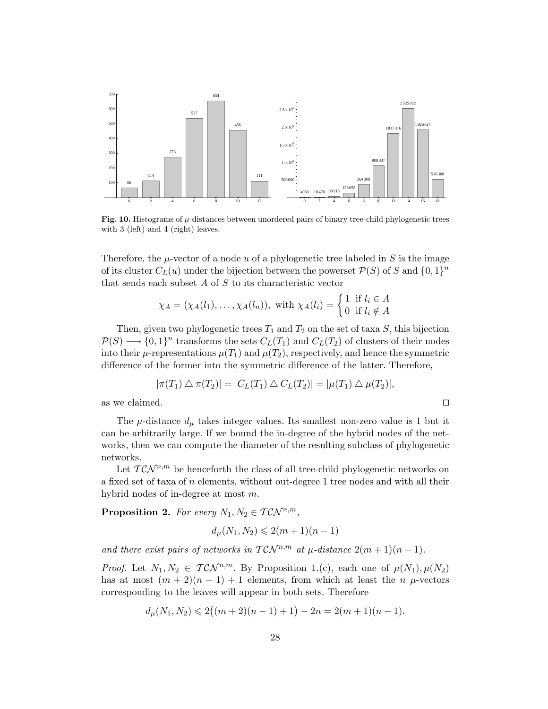

Fig. 10. Histograms of  $\mu$ -distances between unordered pairs of binary tree-child phylogenetic trees with 3 (left) and 4 (right) leaves.

Therefore, the  $\mu$ -vector of a node u of a phylogenetic tree labeled in S is the image of its cluster  $C_L(u)$  under the bijection between the powerset  $\mathcal{P}(S)$  of S and  $\{0,1\}^n$ that sends each subset  $A$  of  $S$  to its characteristic vector

$$
\chi_A = (\chi_A(l_1), \dots, \chi_A(l_n)), \text{ with } \chi_A(l_i) = \begin{cases} 1 & \text{if } l_i \in A \\ 0 & \text{if } l_i \notin A \end{cases}
$$

Then, given two phylogenetic trees  $T_1$  and  $T_2$  on the set of taxa S, this bijection  $\mathcal{P}(S) \longrightarrow \{0,1\}^n$  transforms the sets  $C_L(T_1)$  and  $C_L(T_2)$  of clusters of their nodes into their  $\mu$ -representations  $\mu(T_1)$  and  $\mu(T_2)$ , respectively, and hence the symmetric difference of the former into the symmetric difference of the latter. Therefore,

$$
|\pi(T_1) \bigtriangleup \pi(T_2)| = |C_L(T_1) \bigtriangleup C_L(T_2)| = |\mu(T_1) \bigtriangleup \mu(T_2)|,
$$

as we claimed.  $\Box$ 

The  $\mu$ -distance  $d_{\mu}$  takes integer values. Its smallest non-zero value is 1 but it can be arbitrarily large. If we bound the in-degree of the hybrid nodes of the networks, then we can compute the diameter of the resulting subclass of phylogenetic networks.

Let  $T\mathcal{CN}^{n,m}$  be henceforth the class of all tree-child phylogenetic networks on a fixed set of taxa of  $n$  elements, without out-degree 1 tree nodes and with all their hybrid nodes of in-degree at most m.

**Proposition 2.** For every  $N_1, N_2 \in TCN^{n,m}$ ,

$$
d_{\mu}(N_1, N_2) \leq 2(m+1)(n-1)
$$

and there exist pairs of networks in  $TCN^{n,m}$  at  $\mu$ -distance  $2(m+1)(n-1)$ .

*Proof.* Let  $N_1, N_2 \in T\mathcal{CN}^{n,m}$ . By Proposition 1.(c), each one of  $\mu(N_1), \mu(N_2)$ has at most  $(m + 2)(n - 1) + 1$  elements, from which at least the n  $\mu$ -vectors corresponding to the leaves will appear in both sets. Therefore

$$
d_{\mu}(N_1, N_2) \leq 2((m+2)(n-1)+1) - 2n = 2(m+1)(n-1).
$$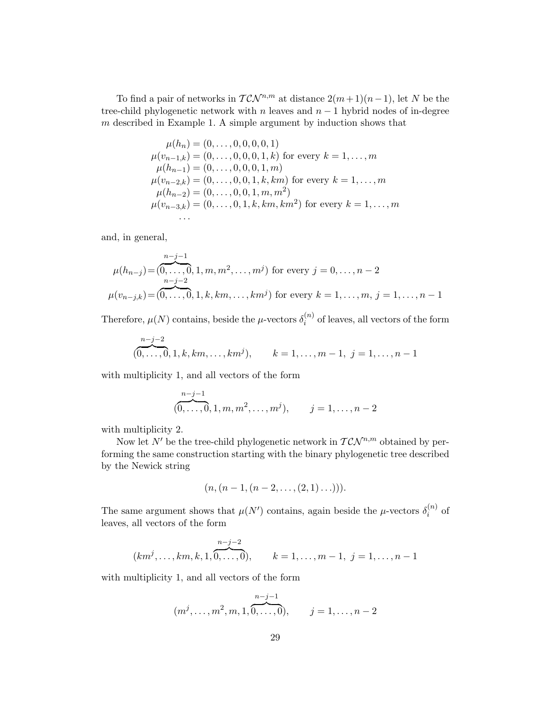To find a pair of networks in  $T \mathcal{CN}^{n,m}$  at distance  $2(m+1)(n-1)$ , let N be the tree-child phylogenetic network with n leaves and  $n-1$  hybrid nodes of in-degree m described in Example 1. A simple argument by induction shows that

$$
\mu(h_n) = (0, \dots, 0, 0, 0, 0, 1)
$$
  
\n
$$
\mu(v_{n-1,k}) = (0, \dots, 0, 0, 0, 1, k)
$$
 for every  $k = 1, \dots, m$   
\n
$$
\mu(h_{n-1}) = (0, \dots, 0, 0, 0, 1, m)
$$
  
\n
$$
\mu(v_{n-2,k}) = (0, \dots, 0, 0, 1, k, km)
$$
 for every  $k = 1, \dots, m$   
\n
$$
\mu(h_{n-2}) = (0, \dots, 0, 0, 1, m, m^2)
$$
  
\n
$$
\mu(v_{n-3,k}) = (0, \dots, 0, 1, k, km, km^2)
$$
 for every  $k = 1, \dots, m$   
\n...

and, in general,

$$
\mu(h_{n-j}) = \overbrace{(0, \ldots, 0, 1, m, m^2, \ldots, m^j)}^{n-j-1}
$$
 for every  $j = 0, \ldots, n-2$   

$$
\mu(v_{n-j,k}) = \overbrace{(0, \ldots, 0, 1, k, km, \ldots, km^j)}^{n-j-2}
$$
 for every  $k = 1, \ldots, m, j = 1, \ldots, n-1$ 

Therefore,  $\mu(N)$  contains, beside the  $\mu$ -vectors  $\delta_i^{(n)}$  $i^{(n)}$  of leaves, all vectors of the form

$$
\underbrace{(0,\ldots,0,1,k,km,\ldots,km^j)}_{m \text{ times } k \text{ times } m \text{ times } k \text{ times } 1,\ldots,m-1, \ j=1,\ldots,n-1
$$

with multiplicity 1, and all vectors of the form

$$
(\overbrace{0,\ldots,0}^{n-j-1},1,m,m^2,\ldots,m^j), \qquad j=1,\ldots,n-2
$$

with multiplicity 2.

Now let N' be the tree-child phylogenetic network in  $T \mathcal{CN}^{n,m}$  obtained by performing the same construction starting with the binary phylogenetic tree described by the Newick string

$$
(n, (n-1, (n-2, \ldots, (2,1) \ldots))).
$$

The same argument shows that  $\mu(N')$  contains, again beside the  $\mu$ -vectors  $\delta_i^{(n)}$  $i^{(n)}$  of leaves, all vectors of the form

$$
(km^j, \ldots, km, k, 1, \underbrace{n-j-2}_{0, \ldots, 0}), \qquad k = 1, \ldots, m-1, \ j = 1, \ldots, n-1
$$

with multiplicity 1, and all vectors of the form

(m<sup>j</sup> , . . . , m<sup>2</sup> , m, 1, n−j−1 z }| { 0, . . . , 0), j = 1, . . . , n − 2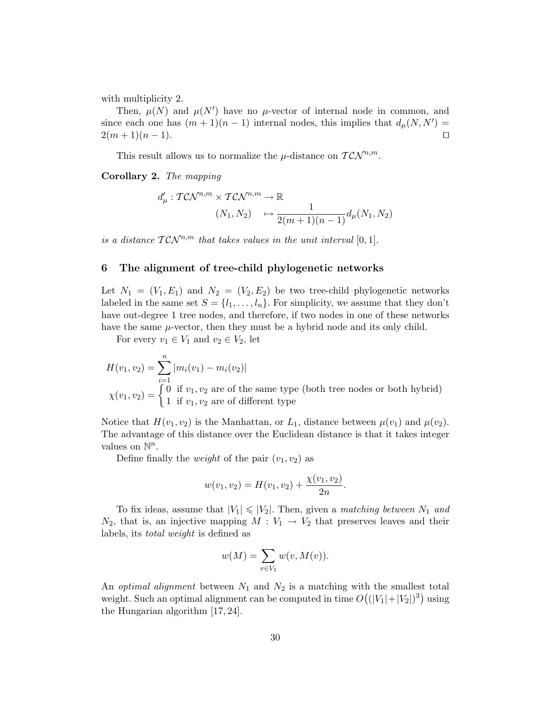with multiplicity 2.

Then,  $\mu(N)$  and  $\mu(N')$  have no  $\mu$ -vector of internal node in common, and since each one has  $(m+1)(n-1)$  internal nodes, this implies that  $d_{\mu}(N, N') =$  $2(m+1)(n-1).$ 

This result allows us to normalize the  $\mu$ -distance on  $T \mathcal{CN}^{n,m}$ .

Corollary 2. The mapping

$$
d'_{\mu}: T\mathcal{CN}^{n,m} \times T\mathcal{CN}^{n,m} \to \mathbb{R}
$$
  

$$
(N_1, N_2) \longrightarrow \frac{1}{2(m+1)(n-1)} d_{\mu}(N_1, N_2)
$$

is a distance  $TCN^{n,m}$  that takes values in the unit interval [0, 1].

## 6 The alignment of tree-child phylogenetic networks

Let  $N_1 = (V_1, E_1)$  and  $N_2 = (V_2, E_2)$  be two tree-child phylogenetic networks labeled in the same set  $S = \{l_1, \ldots, l_n\}$ . For simplicity, we assume that they don't have out-degree 1 tree nodes, and therefore, if two nodes in one of these networks have the same  $\mu$ -vector, then they must be a hybrid node and its only child.

For every  $v_1 \in V_1$  and  $v_2 \in V_2$ , let

$$
H(v_1, v_2) = \sum_{i=1}^{n} |m_i(v_1) - m_i(v_2)|
$$
  

$$
\chi(v_1, v_2) = \begin{cases} 0 & \text{if } v_1, v_2 \text{ are of the same type (both tree nodes or both hybrid)} \\ 1 & \text{if } v_1, v_2 \text{ are of different type} \end{cases}
$$

Notice that  $H(v_1, v_2)$  is the Manhattan, or  $L_1$ , distance between  $\mu(v_1)$  and  $\mu(v_2)$ . The advantage of this distance over the Euclidean distance is that it takes integer values on  $\mathbb{N}^n$ .

Define finally the *weight* of the pair  $(v_1, v_2)$  as

$$
w(v_1, v_2) = H(v_1, v_2) + \frac{\chi(v_1, v_2)}{2n}.
$$

To fix ideas, assume that  $|V_1| \leq |V_2|$ . Then, given a *matching between*  $N_1$  and  $N_2$ , that is, an injective mapping  $M: V_1 \to V_2$  that preserves leaves and their labels, its total weight is defined as

$$
w(M) = \sum_{v \in V_1} w(v, M(v)).
$$

An *optimal alignment* between  $N_1$  and  $N_2$  is a matching with the smallest total weight. Such an optimal alignment can be computed in time  $O((|V_1|+|V_2|)^3)$  using the Hungarian algorithm [17, 24].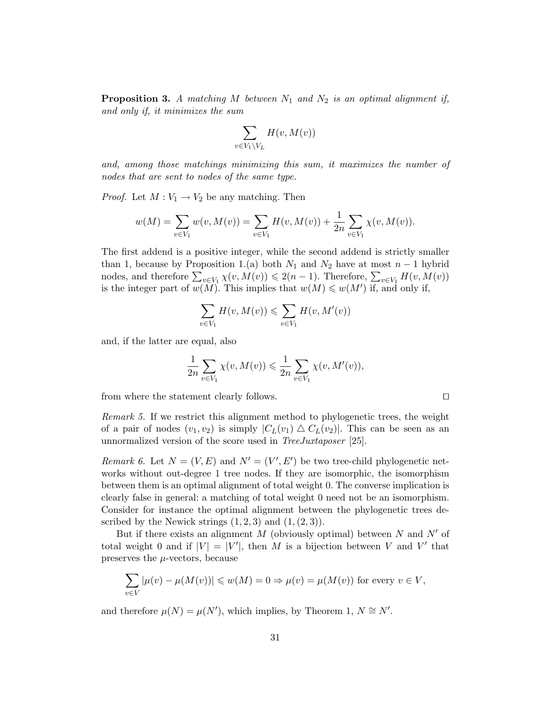**Proposition 3.** A matching M between  $N_1$  and  $N_2$  is an optimal alignment if, and only if, it minimizes the sum

$$
\sum_{v \in V_1 \setminus V_L} H(v, M(v))
$$

and, among those matchings minimizing this sum, it maximizes the number of nodes that are sent to nodes of the same type.

*Proof.* Let  $M: V_1 \to V_2$  be any matching. Then

$$
w(M) = \sum_{v \in V_1} w(v, M(v)) = \sum_{v \in V_1} H(v, M(v)) + \frac{1}{2n} \sum_{v \in V_1} \chi(v, M(v)).
$$

The first addend is a positive integer, while the second addend is strictly smaller than 1, because by Proposition 1.(a) both  $N_1$  and  $N_2$  have at most  $n-1$  hybrid nodes, and therefore  $\sum_{v \in V_1} \chi(v, M(v)) \leq 2(n-1)$ . Therefore,  $\sum_{v \in V_1} H(v, M(v))$ is the integer part of  $w(M)$ . This implies that  $w(M) \leq w(M')$  if, and only if,

$$
\sum_{v \in V_1} H(v, M(v)) \leq \sum_{v \in V_1} H(v, M'(v))
$$

and, if the latter are equal, also

$$
\frac{1}{2n} \sum_{v \in V_1} \chi(v, M(v)) \leq \frac{1}{2n} \sum_{v \in V_1} \chi(v, M'(v)),
$$

from where the statement clearly follows.  $\Box$ 

Remark 5. If we restrict this alignment method to phylogenetic trees, the weight of a pair of nodes  $(v_1, v_2)$  is simply  $|C_L(v_1) \triangle C_L(v_2)|$ . This can be seen as an unnormalized version of the score used in *TreeJuxtaposer* [25].

Remark 6. Let  $N = (V, E)$  and  $N' = (V', E')$  be two tree-child phylogenetic networks without out-degree 1 tree nodes. If they are isomorphic, the isomorphism between them is an optimal alignment of total weight 0. The converse implication is clearly false in general: a matching of total weight 0 need not be an isomorphism. Consider for instance the optimal alignment between the phylogenetic trees described by the Newick strings  $(1, 2, 3)$  and  $(1, (2, 3))$ .

But if there exists an alignment  $M$  (obviously optimal) between  $N$  and  $N'$  of total weight 0 and if  $|V| = |V'|$ , then M is a bijection between V and V' that preserves the  $\mu$ -vectors, because

$$
\sum_{v \in V} |\mu(v) - \mu(M(v))| \leq w(M) = 0 \Rightarrow \mu(v) = \mu(M(v))
$$
 for every  $v \in V$ ,

and therefore  $\mu(N) = \mu(N')$ , which implies, by Theorem 1,  $N \cong N'$ .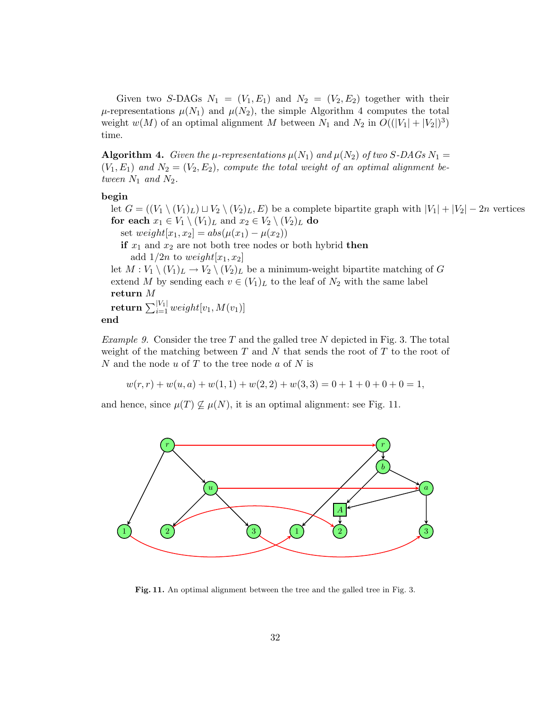Given two S-DAGs  $N_1 = (V_1, E_1)$  and  $N_2 = (V_2, E_2)$  together with their  $\mu$ -representations  $\mu(N_1)$  and  $\mu(N_2)$ , the simple Algorithm 4 computes the total weight  $w(M)$  of an optimal alignment M between  $N_1$  and  $N_2$  in  $O((|V_1|+|V_2|)^3)$ time.

**Algorithm 4.** Given the  $\mu$ -representations  $\mu(N_1)$  and  $\mu(N_2)$  of two S-DAGs  $N_1$  =  $(V_1, E_1)$  and  $N_2 = (V_2, E_2)$ , compute the total weight of an optimal alignment between  $N_1$  and  $N_2$ .

# begin

let  $G = ((V_1 \setminus (V_1)_L) \sqcup V_2 \setminus (V_2)_L, E)$  be a complete bipartite graph with  $|V_1| + |V_2| - 2n$  vertices for each  $x_1 \in V_1 \setminus (V_1)_L$  and  $x_2 \in V_2 \setminus (V_2)_L$  do set  $weight[x_1, x_2] = abs(\mu(x_1) - \mu(x_2))$ 

if  $x_1$  and  $x_2$  are not both tree nodes or both hybrid then add  $1/2n$  to weight $[x_1, x_2]$ 

let  $M: V_1 \setminus (V_1)_L \to V_2 \setminus (V_2)_L$  be a minimum-weight bipartite matching of G extend M by sending each  $v \in (V_1)_L$  to the leaf of  $N_2$  with the same label return M  $\mathbf{return} \, \sum_{i=1}^{|V_1|} weight[v_1, M(v_1)]$ 

# end

Example 9. Consider the tree T and the galled tree N depicted in Fig. 3. The total weight of the matching between  $T$  and  $N$  that sends the root of  $T$  to the root of N and the node  $u$  of T to the tree node  $a$  of N is

 $w(r, r) + w(u, a) + w(1, 1) + w(2, 2) + w(3, 3) = 0 + 1 + 0 + 0 + 0 = 1$ 

and hence, since  $\mu(T) \nsubseteq \mu(N)$ , it is an optimal alignment: see Fig. 11.



Fig. 11. An optimal alignment between the tree and the galled tree in Fig. 3.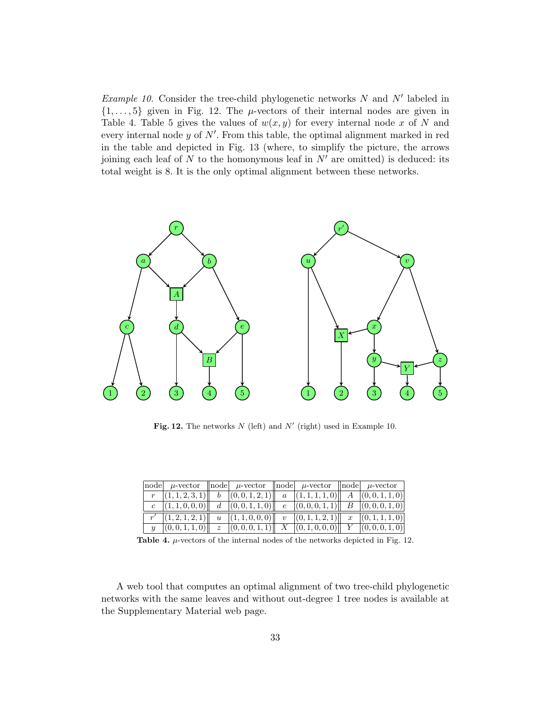Example 10. Consider the tree-child phylogenetic networks  $N$  and  $N'$  labeled in  $\{1, \ldots, 5\}$  given in Fig. 12. The  $\mu$ -vectors of their internal nodes are given in Table 4. Table 5 gives the values of  $w(x, y)$  for every internal node x of N and every internal node  $y$  of  $N'$ . From this table, the optimal alignment marked in red in the table and depicted in Fig. 13 (where, to simplify the picture, the arrows joining each leaf of N to the homonymous leaf in  $N'$  are omitted) is deduced: its total weight is 8. It is the only optimal alignment between these networks.



Fig. 12. The networks  $N$  (left) and  $N'$  (right) used in Example 10.

| $ node $ $\mu$ -vector $ node $ $\mu$ -vector $ node $ $\mu$ -vector $ node $ $\mu$ -vector                                                                                          |  |  |  |
|--------------------------------------------------------------------------------------------------------------------------------------------------------------------------------------|--|--|--|
|                                                                                                                                                                                      |  |  |  |
| $\begin{array}{ c c c c c c c c } \hline \begin{array}{ c c c c c c } \hline c & (1,1,0,0,0) & d & (0,0,1,1,0) & e & (0,0,0,1,1) & B & (0,0,0,1,0) \ \hline \end{array} \end{array}$ |  |  |  |
| $\begin{array}{ c c c c c c c c } \hline r' & (1,2,1,2,1) \end{array}$    $u & (1,1,0,0,0)$    $v & (0,1,1,2,1)$    $x & (0,1,1,1,0)$                                                |  |  |  |
| $\begin{array}{c  c} y & (0,0,1,1,0) & z & (0,0,0,1,1) & X & (0,1,0,0,0) & Y & (0,0,0,1,0) \end{array}$                                                                              |  |  |  |

Table 4.  $\mu$ -vectors of the internal nodes of the networks depicted in Fig. 12.

A web tool that computes an optimal alignment of two tree-child phylogenetic networks with the same leaves and without out-degree 1 tree nodes is available at the Supplementary Material web page.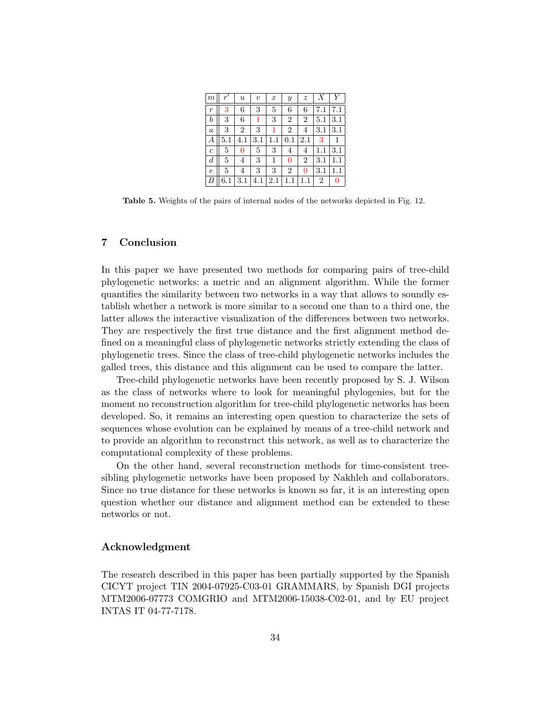| m                |          | $\boldsymbol{\mathit{u}}$ | $\boldsymbol{v}$ | $\boldsymbol{x}$ | $\boldsymbol{y}$ | $\boldsymbol{z}$ |                |         |
|------------------|----------|---------------------------|------------------|------------------|------------------|------------------|----------------|---------|
| $\boldsymbol{r}$ | 3        | 6                         | 3                | 5                | 6                | 6                |                |         |
| $\boldsymbol{b}$ | 3        | 6                         | 1                | 3                | $\overline{2}$   | $\overline{2}$   | 5.1            | $3.1\,$ |
| $\boldsymbol{a}$ | 3        | $\overline{2}$            | 3                |                  | $\overline{2}$   | 4                | 3.1            | 3.1     |
| А                | $^{5.1}$ | 4.1                       | 3.1              |                  |                  | 2.1              | 3              |         |
| $\boldsymbol{c}$ | 5        | 0                         | 5                | 3                | 4                | 4                |                | 3.1     |
| $\boldsymbol{d}$ | 5        | 4                         | 3                | 1                | 0                | $\overline{2}$   | 3.1            |         |
| $\epsilon$       | 5        | 4                         | 3                | 3                | $\overline{2}$   | 0                | 3.1            |         |
| $\overline{B}$   |          | $_{\rm 3.1}$              | 4.1              | 2.1              |                  |                  | $\overline{2}$ | 0       |

Table 5. Weights of the pairs of internal nodes of the networks depicted in Fig. 12.

# 7 Conclusion

In this paper we have presented two methods for comparing pairs of tree-child phylogenetic networks: a metric and an alignment algorithm. While the former quantifies the similarity between two networks in a way that allows to soundly establish whether a network is more similar to a second one than to a third one, the latter allows the interactive visualization of the differences between two networks. They are respectively the first true distance and the first alignment method defined on a meaningful class of phylogenetic networks strictly extending the class of phylogenetic trees. Since the class of tree-child phylogenetic networks includes the galled trees, this distance and this alignment can be used to compare the latter.

Tree-child phylogenetic networks have been recently proposed by S. J. Wilson as the class of networks where to look for meaningful phylogenies, but for the moment no reconstruction algorithm for tree-child phylogenetic networks has been developed. So, it remains an interesting open question to characterize the sets of sequences whose evolution can be explained by means of a tree-child network and to provide an algorithm to reconstruct this network, as well as to characterize the computational complexity of these problems.

On the other hand, several reconstruction methods for time-consistent treesibling phylogenetic networks have been proposed by Nakhleh and collaborators. Since no true distance for these networks is known so far, it is an interesting open question whether our distance and alignment method can be extended to these networks or not.

## Acknowledgment

The research described in this paper has been partially supported by the Spanish CICYT project TIN 2004-07925-C03-01 GRAMMARS, by Spanish DGI projects MTM2006-07773 COMGRIO and MTM2006-15038-C02-01, and by EU project INTAS IT 04-77-7178.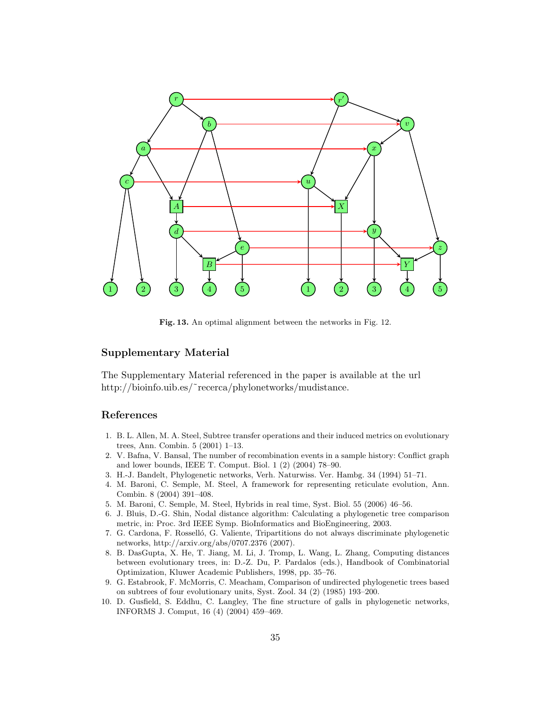

Fig. 13. An optimal alignment between the networks in Fig. 12.

# Supplementary Material

The Supplementary Material referenced in the paper is available at the url http://bioinfo.uib.es/~recerca/phylonetworks/mudistance.

# References

- 1. B. L. Allen, M. A. Steel, Subtree transfer operations and their induced metrics on evolutionary trees, Ann. Combin. 5 (2001) 1–13.
- 2. V. Bafna, V. Bansal, The number of recombination events in a sample history: Conflict graph and lower bounds, IEEE T. Comput. Biol. 1 (2) (2004) 78–90.
- 3. H.-J. Bandelt, Phylogenetic networks, Verh. Naturwiss. Ver. Hambg. 34 (1994) 51–71.
- 4. M. Baroni, C. Semple, M. Steel, A framework for representing reticulate evolution, Ann. Combin. 8 (2004) 391–408.
- 5. M. Baroni, C. Semple, M. Steel, Hybrids in real time, Syst. Biol. 55 (2006) 46–56.
- 6. J. Bluis, D.-G. Shin, Nodal distance algorithm: Calculating a phylogenetic tree comparison metric, in: Proc. 3rd IEEE Symp. BioInformatics and BioEngineering, 2003.
- 7. G. Cardona, F. Rosselló, G. Valiente, Tripartitions do not always discriminate phylogenetic networks, http://arxiv.org/abs/0707.2376 (2007).
- 8. B. DasGupta, X. He, T. Jiang, M. Li, J. Tromp, L. Wang, L. Zhang, Computing distances between evolutionary trees, in: D.-Z. Du, P. Pardalos (eds.), Handbook of Combinatorial Optimization, Kluwer Academic Publishers, 1998, pp. 35–76.
- 9. G. Estabrook, F. McMorris, C. Meacham, Comparison of undirected phylogenetic trees based on subtrees of four evolutionary units, Syst. Zool. 34 (2) (1985) 193–200.
- 10. D. Gusfield, S. Eddhu, C. Langley, The fine structure of galls in phylogenetic networks, INFORMS J. Comput, 16 (4) (2004) 459–469.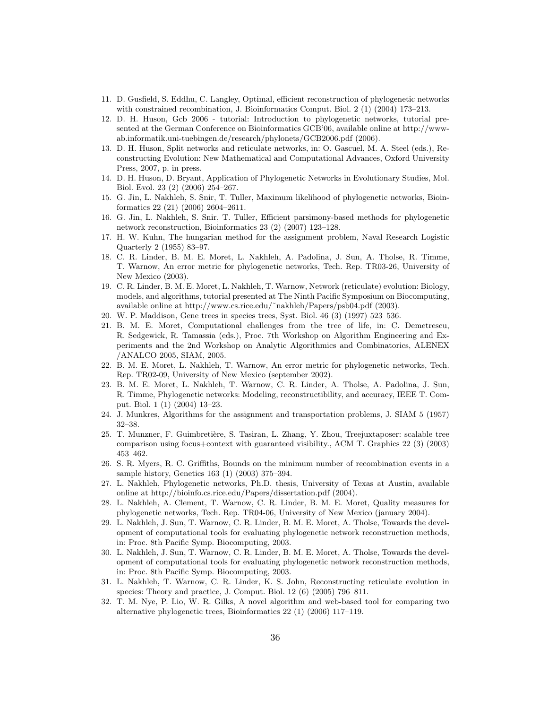- 11. D. Gusfield, S. Eddhu, C. Langley, Optimal, efficient reconstruction of phylogenetic networks with constrained recombination, J. Bioinformatics Comput. Biol. 2 (1) (2004) 173–213.
- 12. D. H. Huson, Gcb 2006 tutorial: Introduction to phylogenetic networks, tutorial presented at the German Conference on Bioinformatics GCB'06, available online at http://wwwab.informatik.uni-tuebingen.de/research/phylonets/GCB2006.pdf (2006).
- 13. D. H. Huson, Split networks and reticulate networks, in: O. Gascuel, M. A. Steel (eds.), Reconstructing Evolution: New Mathematical and Computational Advances, Oxford University Press, 2007, p. in press.
- 14. D. H. Huson, D. Bryant, Application of Phylogenetic Networks in Evolutionary Studies, Mol. Biol. Evol. 23 (2) (2006) 254–267.
- 15. G. Jin, L. Nakhleh, S. Snir, T. Tuller, Maximum likelihood of phylogenetic networks, Bioinformatics 22 (21) (2006) 2604–2611.
- 16. G. Jin, L. Nakhleh, S. Snir, T. Tuller, Efficient parsimony-based methods for phylogenetic network reconstruction, Bioinformatics 23 (2) (2007) 123–128.
- 17. H. W. Kuhn, The hungarian method for the assignment problem, Naval Research Logistic Quarterly 2 (1955) 83–97.
- 18. C. R. Linder, B. M. E. Moret, L. Nakhleh, A. Padolina, J. Sun, A. Tholse, R. Timme, T. Warnow, An error metric for phylogenetic networks, Tech. Rep. TR03-26, University of New Mexico (2003).
- 19. C. R. Linder, B. M. E. Moret, L. Nakhleh, T. Warnow, Network (reticulate) evolution: Biology, models, and algorithms, tutorial presented at The Ninth Pacific Symposium on Biocomputing, available online at http://www.cs.rice.edu/˜nakhleh/Papers/psb04.pdf (2003).
- 20. W. P. Maddison, Gene trees in species trees, Syst. Biol. 46 (3) (1997) 523–536.
- 21. B. M. E. Moret, Computational challenges from the tree of life, in: C. Demetrescu, R. Sedgewick, R. Tamassia (eds.), Proc. 7th Workshop on Algorithm Engineering and Experiments and the 2nd Workshop on Analytic Algorithmics and Combinatorics, ALENEX /ANALCO 2005, SIAM, 2005.
- 22. B. M. E. Moret, L. Nakhleh, T. Warnow, An error metric for phylogenetic networks, Tech. Rep. TR02-09, University of New Mexico (september 2002).
- 23. B. M. E. Moret, L. Nakhleh, T. Warnow, C. R. Linder, A. Tholse, A. Padolina, J. Sun, R. Timme, Phylogenetic networks: Modeling, reconstructibility, and accuracy, IEEE T. Comput. Biol. 1 (1) (2004) 13–23.
- 24. J. Munkres, Algorithms for the assignment and transportation problems, J. SIAM 5 (1957) 32–38.
- 25. T. Munzner, F. Guimbretière, S. Tasiran, L. Zhang, Y. Zhou, Treejuxtaposer: scalable tree comparison using focus+context with guaranteed visibility., ACM T. Graphics 22 (3) (2003) 453–462.
- 26. S. R. Myers, R. C. Griffiths, Bounds on the minimum number of recombination events in a sample history, Genetics 163 (1) (2003) 375–394.
- 27. L. Nakhleh, Phylogenetic networks, Ph.D. thesis, University of Texas at Austin, available online at http://bioinfo.cs.rice.edu/Papers/dissertation.pdf (2004).
- 28. L. Nakhleh, A. Clement, T. Warnow, C. R. Linder, B. M. E. Moret, Quality measures for phylogenetic networks, Tech. Rep. TR04-06, University of New Mexico (january 2004).
- 29. L. Nakhleh, J. Sun, T. Warnow, C. R. Linder, B. M. E. Moret, A. Tholse, Towards the development of computational tools for evaluating phylogenetic network reconstruction methods, in: Proc. 8th Pacific Symp. Biocomputing, 2003.
- 30. L. Nakhleh, J. Sun, T. Warnow, C. R. Linder, B. M. E. Moret, A. Tholse, Towards the development of computational tools for evaluating phylogenetic network reconstruction methods, in: Proc. 8th Pacific Symp. Biocomputing, 2003.
- 31. L. Nakhleh, T. Warnow, C. R. Linder, K. S. John, Reconstructing reticulate evolution in species: Theory and practice, J. Comput. Biol. 12 (6) (2005) 796–811.
- 32. T. M. Nye, P. Lio, W. R. Gilks, A novel algorithm and web-based tool for comparing two alternative phylogenetic trees, Bioinformatics 22 (1) (2006) 117–119.